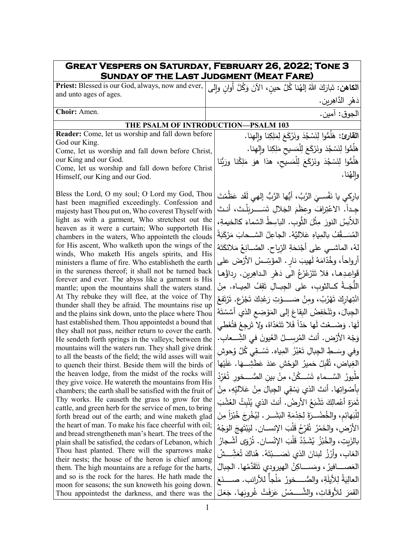| <b>GREAT VESPERS ON SATURDAY, FEBRUARY 26, 2022; TONE 3</b><br><b>SUNDAY OF THE LAST JUDGMENT (MEAT FARE)</b>    |                                                                                            |
|------------------------------------------------------------------------------------------------------------------|--------------------------------------------------------------------------------------------|
| Priest: Blessed is our God, always, now and ever,                                                                | ا <b>لكاهن:</b> تَبارَكَ اللهُ إلهُنا كُلَّ حينِ، الآنَ وَكُلَّ أُوانِ وإِل <sub>َ</sub> ى |
| and unto ages of ages.                                                                                           | دَهْرِ الدَّاهِرِينِ.                                                                      |
| Choir: Amen.                                                                                                     | الجوق: آمين.                                                                               |
| THE PSALM OF INTRODUCTION-PSALM 103                                                                              |                                                                                            |
| Reader: Come, let us worship and fall down before                                                                | القارئ: هَلَمُّوا لِنَسْجُدَ ونَرْكَعَ لِمَلِكِنا وإلهِنا.                                 |
| God our King.                                                                                                    |                                                                                            |
| Come, let us worship and fall down before Christ,                                                                | هَلَمُّوا لِنَسْجُدَ ونَرْكَعَ لِلْمَسيحِ مَلِكِنا وإلهِنا.                                |
| our King and our God.<br>Come, let us worship and fall down before Christ                                        | هَلَمُّوا لِنَسْجُدَ ونَرْكَعَ لِلْمَسيحِ، هذا هوَ مَلِكُنا ورَبُّنا                       |
| Himself, our King and our God.                                                                                   | والهُنا.                                                                                   |
|                                                                                                                  |                                                                                            |
| Bless the Lord, O my soul; O Lord my God, Thou<br>hast been magnified exceedingly. Confession and                | باركي يا نَفْســيَ الرَّبَّ، أَيُّها الرَّبُّ إلهي لَقَد عَظُمْتَ                          |
| majesty hast Thou put on, Who coverest Thyself with                                                              | جِداً. الاعْتِرافَ وعظَمَ الجَلالِ تَسَــــريَلْتَ، أنـتَ                                  |
| light as with a garment, Who stretchest out the                                                                  | اللاّبسُ النورَ مِثْلَ الثَّوبِ. الباسِطُ السَّماءَ كالخيمةِ،                              |
| heaven as it were a curtain; Who supporteth His                                                                  | المُسَــقِّفُ بالمِياهِ عَلاليَّهُ. الجاعِلُ السَّــحابَ مَرْكَبَةً                        |
| chambers in the waters, Who appointeth the clouds<br>for His ascent, Who walketh upon the wings of the           |                                                                                            |
| winds, Who maketh His angels spirits, and His                                                                    | لهُ، الماشــى على أَجْنحَةِ الرّياحِ. الصّــانِعُ مَلائكَتَهُ                              |
| ministers a flame of fire. Who establisheth the earth                                                            | أرواحاً، وخُدّامَهُ لَهيبَ نارِ . المؤَسِّسُ الأَرْضَ على                                  |
| in the sureness thereof; it shall not be turned back                                                             | قَواعِدِهـا، فلا تَتَزَعْزَعُ الى دَهْرِ الـداهِرينِ. رداؤُهـا                             |
| forever and ever. The abyss like a garment is His<br>mantle; upon the mountains shall the waters stand.          | اللَّجَــةُ كــالثوبِ، على الجِبــالِ تَقِفُ المِيــاه. مِنْ                               |
| At Thy rebuke they will flee, at the voice of Thy                                                                | انْتِهاركَ تَهْرُبُ، ومِنْ صَـــــوْتِ رَعْدِكَ تَجْزَعِ. تَرْتَفِعُ                       |
| thunder shall they be afraid. The mountains rise up                                                              |                                                                                            |
| and the plains sink down, unto the place where Thou<br>hast established them. Thou appointedst a bound that      | الجِبالَ، وتَنْخَفِضُ الْبِقاعَ إلى المَوْضِعِ الذي أَسَّسْتَهُ                            |
| they shall not pass, neither return to cover the earth.                                                          | لَهَا. وَضَــعْتَ لَها حَدّاً فَلا تَتَعَدّاهُ، ولا تَرجِعُ فتُغَطي                        |
| He sendeth forth springs in the valleys; between the                                                             | وَجْهَ الأَرْضِ. أنتَ المُرسِـــلُ العُيونَ في الشِّـــعابِ.                               |
| mountains will the waters run. They shall give drink<br>to all the beasts of the field; the wild asses will wait | وفي وسَــطِ الجِبالِ تَعْبُرُ  المِياه. تَسْــقِي كُلَّ وُحوش                              |
| to quench their thirst. Beside them will the birds of   المُغِياض، تُقْبِلُ حَميرُ الوَحْشِ عَندَ عَطَشِـــهَا   |                                                                                            |
| the heaven lodge, from the midst of the rocks will                                                               | طُيورُ السَّــماءِ تَسْــكُنُ، مِنْ بين الصُّـــخور تُغَرّدُ                               |
| they give voice. He watereth the mountains from His<br>chambers; the earth shall be satisfied with the fruit of  | بأصْواتِها. أنتَ الذي يَسْقِي الجِبالَ مِنْ عَلاليّهِ، مِنْ                                |
| Thy works. He causeth the grass to grow for the                                                                  | ثَمَرَةِ أَعْمالِكَ تَشْبَعُ الأَرضُ. أنتَ الذي يُنْبِتُ العُشْبَ                          |
| cattle, and green herb for the service of men, to bring                                                          |                                                                                            |
| forth bread out of the earth; and wine maketh glad                                                               | لِلْبَهائِمِ، والخُضْــرَةَ لِخِدْمَةِ البَشَــرِ . لِيُخْرِجَ خُبْرْاً مِنَ               |
| the heart of man. To make his face cheerful with oil;<br>and bread strengtheneth man's heart. The trees of the   | الأرْض، والخَمْرُ ۖ ثَفَرِّحُ قَلْبَ الإنســانِ. ليَبْتَهجَ الوَجْهُ                       |
| plain shall be satisfied, the cedars of Lebanon, which                                                           | بالزَبِتِ، والخُبْزُ  يُشَدِّدُ قَلْبَ الإِنْسانِ. تُرْوَى أشْجارُ                         |
| Thou hast planted. There will the sparrows make                                                                  | الغاب، وأَرْزُ لبنانَ الذي نَصَـــبْتَهُ. هُناكَ تُعَشِّـــشُ                              |
| their nests; the house of the heron is chief among<br>them. The high mountains are a refuge for the harts,       | العَصــــافيرُ ، ومَســــاكِنُ المهيرودي تَتَقَدَّمُها. الجبالُ                            |
| and so is the rock for the hares. He hath made the                                                               | العالِيَةُ لِلأَيلَةِ، والصُّـــخورُ مَلْجاً للأرانب. صـــــنَعَ                           |
| moon for seasons; the sun knoweth his going down.                                                                |                                                                                            |
| Thou appointedst the darkness, and there was the                                                                 | القَمَرَ للأوقاتِ، والشَّـــمْسُ عَرَفَتْ غُروبَها. جَعَلَ                                 |

 $\Gamma$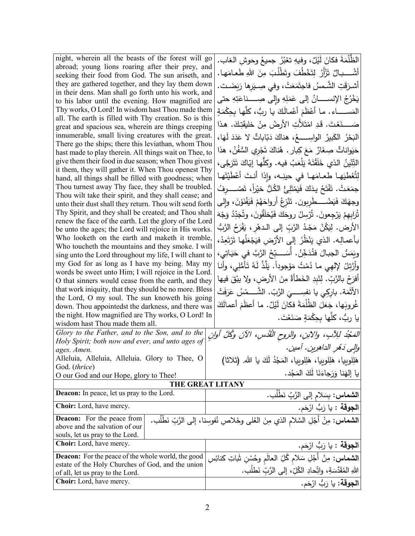| night, wherein all the beasts of the forest will go                                                            | الظُّلْمَةَ فكانَ لَيْلٌ، وفيهِ تعْبُرُ جميعُ وحوشِ الغاب.                                        |
|----------------------------------------------------------------------------------------------------------------|---------------------------------------------------------------------------------------------------|
| abroad; young lions roaring after their prey, and                                                              | أَشْـــــبالٌ تَزْأَرُ لِتَخْطُفَ وتَطْلُبَ مِنَ اللهِ طَعـامَهـا.                                |
| seeking their food from God. The sun ariseth, and                                                              |                                                                                                   |
| they are gathered together, and they lay them down<br>in their dens. Man shall go forth unto his work, and     | أشرَقَتِ الشَّمسُ فاجتَمَعَتْ، وفي صِـيَرها رَبَضَـت.                                             |
| to his labor until the evening. How magnified are                                                              | يَخْرُجُ الإِنســـــانُ إِلَى عَمَلِهِ وإِلَى صِـــــناعَتِهِ حتى                                 |
| Thy works, O Lord! In wisdom hast Thou made them                                                               | المَســـــــاء . مـا أَعْظَمَ أَعْمـالَكَ يـا ربُّ، كلَّهـا بـحِكْمَةٍ                            |
| all. The earth is filled with Thy creation. So is this                                                         |                                                                                                   |
| great and spacious sea, wherein are things creeping                                                            | صَـــــنَعْتَ. قَدِ امْتَلأَتِ الأَرضُ مِنْ خَليقَتِكَ. هذا                                       |
| innumerable, small living creatures with the great.                                                            | الْبَحْرُ الكَبِيرُ الواسِـــــعُ، هناكَ دَبّاباتٌ لا عَدَدَ لَهَا،                               |
| There go the ships; there this leviathan, whom Thou                                                            | حَيَواناتٌ صِغَارٌ مَعَ كِبارٍ . هُناكَ تَجْرِي السُّفُنُ، هذا                                    |
| hast made to play therein. All things wait on Thee, to<br>give them their food in due season; when Thou givest |                                                                                                   |
| it them, they will gather it. When Thou openest Thy                                                            | التِّنّينُ الذي خَلَقْتَهُ يَلْعَبُ فيه. وكلّها إيّاكَ تَتَرَجَّى،                                |
| hand, all things shall be filled with goodness; when                                                           | لِتُعْطِيَهِا طعامَها في حينِه، وإذا أنتَ أَعْطَيْتَها                                            |
| Thou turnest away Thy face, they shall be troubled.                                                            | جمَعَتْ. تَفْتَحُ يدَكَ فَيَمْتَلِئُ الكُلُّ خيْراً، تَصْـــــرفُ                                 |
| Thou wilt take their spirit, and they shall cease; and                                                         |                                                                                                   |
| unto their dust shall they return. Thou wilt send forth                                                        | وجهَكَ فَيَضْــــطّْرِبون. تَنْزِعُ أَرواحَهُمْ فَيَفْنَوْنَ، وإلى                                |
| Thy Spirit, and they shall be created; and Thou shalt                                                          | تُرابهمْ يَرْجِعونَ. تُرْسِلُ روحَكَ فَيُخلَقُونَ، وتُجَدِّدُ وَجْهَ                              |
| renew the face of the earth. Let the glory of the Lord                                                         | الأرض. لِيَكُنْ مَجْدُ الرَّبِّ إِلَى الدهْرِ ، يَفْرَحُ الرَّبُّ                                 |
| be unto the ages; the Lord will rejoice in His works.                                                          |                                                                                                   |
| Who looketh on the earth and maketh it tremble,<br>Who toucheth the mountains and they smoke. I will           | بأعمالِه. الذي يَنْظُرُ إلى الأرْض فيَجْعَلُها تَرْتَعِدُ،                                        |
| sing unto the Lord throughout my life, I will chant to                                                         | ويَمَسُ الجبـالَ فَتُدَخِّنُ. أَسَـــبِّحُ الرَّبَّ في حَيَـاتِي،                                 |
| my God for as long as I have my being. May my                                                                  | وأَرَّتلُ لإلهي ما دُمْتُ مَوْجوداً. يَلَّذُ لَهُ تَأْمُّلِي، وأنا                                |
| words be sweet unto Him; I will rejoice in the Lord.                                                           |                                                                                                   |
| O that sinners would cease from the earth, and they                                                            | أَفْرَحُ بِالرَّبِّ. لِتَبِدِ الْخَطَأَةُ مِنَ الأَرضِ، ولا يبْقَ فيها                            |
| that work iniquity, that they should be no more. Bless                                                         | الأَثْمَة. بارِكِي يا نفسِــــيَ الرَّبّ. الشَّــــمْسُ عَرَفَتْ                                  |
| the Lord, O my soul. The sun knoweth his going                                                                 | غُروبَها، جَعَلَ الظُلْمَةَ فكانَ لَيْلٌ. ما أعظَمَ أعمالَكَ                                      |
| down. Thou appointedst the darkness, and there was                                                             |                                                                                                   |
| the night. How magnified are Thy works, O Lord! In<br>wisdom hast Thou made them all.                          | يا ربُّ، كلَّها بحِكْمَةٍ صَنَعْتَ.                                                               |
| Glory to the Father, and to the Son, and to the                                                                |                                                                                                   |
| Holy Spirit; both now and ever, and unto ages of                                                               | الْمَجْدُ لِلِأَبِ، والآبنِ، والروحِ الْقُدْسِ، الآنَ وكُلَّ أُوانٍ                               |
| ages. Amen.                                                                                                    | والِي دَهُرِ الداهِرِينِ. آمينِ.                                                                  |
| Alleluia, Alleluia, Alleluia. Glory to Thee, O                                                                 | هَلِلوبيا، هَلِلوبيا، هَلِلوبيا، المَجْدُ لَكَ يا الله. (ثلاثا)                                   |
| God. (thrice)                                                                                                  |                                                                                                   |
| O our God and our Hope, glory to Thee!                                                                         | يا إلهَنا وَرَجاءَنَا لَكَ المَجْد.                                                               |
|                                                                                                                | <b>THE GREAT LITANY</b>                                                                           |
| Deacon: In peace, let us pray to the Lord.                                                                     | ا <b>لشماس:</b> بِسَلام إلى الرَّبِّ نَطْلُب.                                                     |
| Choir: Lord, have mercy.                                                                                       | ا <b>لجوقة</b> : يا رَبُّ ارْحَم.                                                                 |
| <b>Deacon:</b> For the peace from                                                                              | <b>الشماس:</b> مِنْ أَجْلِ السَّلامِ الذي مِنَ الْعُلْمِي وخَلاصِ نُفوسِنا، إلى الرَّبِّ نَطْلُب. |
| above and the salvation of our                                                                                 |                                                                                                   |
| souls, let us pray to the Lord.                                                                                |                                                                                                   |
| Choir: Lord, have mercy.                                                                                       | ا <b>لجوقة :</b> يا رَبُّ ارْحَم.                                                                 |
| Deacon: For the peace of the whole world, the good<br>estate of the Holy Churches of God, and the union        | <b>الشماس:</b> مِنْ أَجْلِ سَلام كُلِّ العالَم وحُسْنِ شَاتِ كنائِسِ                              |
| of all, let us pray to the Lord.                                                                               | اللهِ المُقَدَّسَةِ، واتِّحادِ الكُلِّ، إلى الرَّبِّ نَطلُب.                                      |
| <b>Choir:</b> Lord, have mercy.                                                                                | ا <b>لجوقة:</b> يا رَبُّ ارْحَم.                                                                  |
|                                                                                                                |                                                                                                   |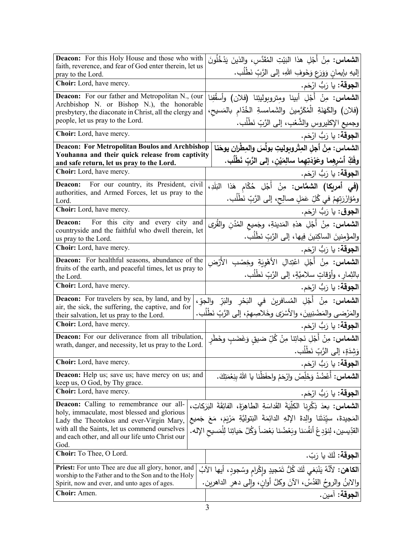| <b>Deacon:</b> For this Holy House and those who with<br>faith, reverence, and fear of God enter therein, let us | <b>الشماس:</b> مِنْ أَجْلِ هذا ال <sub>َبَ</sub> يْتِ المُقَدَّس، والذينَ يَدْخُلُونَ |
|------------------------------------------------------------------------------------------------------------------|---------------------------------------------------------------------------------------|
| pray to the Lord.                                                                                                | إليهِ بإيمانِ وَوَرَعٍ وَخَوفِ اللهِ، إلى الرَّبِّ نَطْلُبٍ.                          |
| Choir: Lord, have mercy.                                                                                         | ا <b>لجوقة:</b> يا رَبُّ ارْحَم.                                                      |
| <b>Deacon:</b> For our father and Metropolitan N., (our                                                          | ا <b>لشماس:</b> مِنْ أَجْلِ أبينا ومِتروبوليتِنا (فلان) وأسقُفِنا                     |
| Archbishop N. or Bishop N.), the honorable<br>presbytery, the diaconate in Christ, all the clergy and            | (فلان) والكَهَنَةِ الْمُكَرَّمينَ والشَمامسةِ الخُدّام بالمَسيح،                      |
| people, let us pray to the Lord.                                                                                 | وجميع الإكليروس والشَّعْبِ، إلى الرَّبِّ نَطْلُبٍ.                                    |
| <b>Choir:</b> Lord, have mercy.                                                                                  | ا <b>لجوقة:</b> يا رَبُّ ارْحَم.                                                      |
| <b>Deacon: For Metropolitan Boulos and Archbishop</b>                                                            | الشماس: مِنْ أجلِ المِتْروبوليتِ بولُسَ والمِطْرانِ يوحَنا                            |
| Youhanna and their quick release from captivity<br>and safe return, let us pray to the Lord.                     | وفَكِّ أَسْرِهِما وعَوْدَتِهِما سالِمَيْنِ، إلى الرَّبِّ نَطْلُبٍ.                    |
| Choir: Lord, have mercy.                                                                                         | ا <b>لجوقة:</b> يا رَبُّ ارْحَم.                                                      |
| For our country, its President, civil<br>Deacon:                                                                 | (في أمريكا) الشمَّاس: مِنْ أَجْلِ حُكّام هَذا البَلَدِ،                               |
| authorities, and Armed Forces, let us pray to the<br>Lord.                                                       | ومُؤازَرَتِهِمْ في كُلِّ عَمَلٍ صالِحٍ، إلى الرَّبِّ نَطْلُبٍ.                        |
| Choir: Lord, have mercy.                                                                                         | ا <b>لجوق</b> : يا رَبُّ ارْحَم.                                                      |
| For this city and every city and<br>Deacon:                                                                      | ا <b>لشماس:</b> مِنْ أَجْلِ هذهِ المَدينةِ، وجَميع المُدُنِ والقُرى                   |
| countryside and the faithful who dwell therein, let<br>us pray to the Lord.                                      | والمؤْمِنينَ الساكِنينَ فِيها، إلى الرَّبِّ نَطْلُب.                                  |
| Choir: Lord, have mercy.                                                                                         | ا <b>لجوقة:</b> يا رَبُّ ارْحَم.                                                      |
| Deacon: For healthful seasons, abundance of the                                                                  | <b>الشماس:</b> مِنْ أَجْلِ اعْتِدالِ الأَهْوِيَةِ وخِصْبِ الأَرْض                     |
| fruits of the earth, and peaceful times, let us pray to<br>the Lord.                                             | بالثِمارِ ، وأَوْقاتٍ سلاميَّةٍ، إلى الرَّبِّ نَطْلُبٍ.                               |
| Choir: Lord, have mercy.                                                                                         | ا <b>لجوقة:</b> يا رَبُّ ارْحَم.                                                      |
| <b>Deacon:</b> For travelers by sea, by land, and by                                                             | ا <b>لشماس:</b> مِنْ أَجْلِ المُسافرينَ في البَحْرِ والنَرِّ والحِوِّ،                |
| air, the sick, the suffering, the captive, and for<br>their salvation, let us pray to the Lord.                  | والمَرْضى والمَضْنِيينَ، والأَسْرَى وخَلاصِهِمْ، إلى الرَّبِّ نَطْلُب.                |
| Choir: Lord, have mercy.                                                                                         | ا <b>لجوقة:</b> يا رَبُّ ارْحَم.                                                      |
| Deacon: For our deliverance from all tribulation,                                                                | <b>الشماس:</b> مِنْ أَجْلِ نَجاتِنا مِنْ كُلِّ ضيقٍ وَغَضَبٍ وخَطَرِ                  |
| wrath, danger, and necessity, let us pray to the Lord.                                                           | وَشِدَةٍ، إلى الرَّبِّ نَطْلُب.                                                       |
| Choir: Lord, have mercy.                                                                                         | ا <b>لجوقة:</b> يا رَبُّ ارْحَم.                                                      |
| <b>Deacon:</b> Help us; save us; have mercy on us; and<br>keep us, O God, by Thy grace.                          | <b>الشماس:</b> أَعْضُدْ وَخَلِّصْ وارْحَمْ واحفَظْنا يا اللهُ بنِعْمَتِكَ.            |
| <b>Choir:</b> Lord, have mercy.                                                                                  | ا <b>لجوقة:</b> يا رَبُّ ارْحَم.                                                      |
| <b>Deacon:</b> Calling to remembrance our all-                                                                   | الشماس: بعدَ ذِكْرِياً الكلِّيَةَ القَداسَةِ الطاهِرَةَ، الفائِقَةَ البَرَكاتِ،       |
| holy, immaculate, most blessed and glorious<br>Lady the Theotokos and ever-Virgin Mary,                          | المَجيدةَ، سيِّدَتَنا والِدةَ الإِلهِ الدائِمَةَ البَتوليَّةِ مَرْيَمَ، مَعَ جَميع    |
| with all the Saints, let us commend ourselves                                                                    | القدِّيسين، لِنوْدِعْ أَنفُسَنا وبَعْضُنا بَعْضاً وَكُلَّ حَياتِنا لِلْمَسيحِ الإله.  |
| and each other, and all our life unto Christ our<br>God.                                                         |                                                                                       |
| Choir: To Thee, O Lord.                                                                                          | ا <b>لجوقة:</b> لَكَ يا رَبّ.                                                         |
| <b>Priest:</b> For unto Thee are due all glory, honor, and                                                       | ا <b>لكاهن:</b> لأنَّهُ يَنْبَغي لَكَ كُلُّ تَمْجِيدِ وإِكْرامِ وسُجودٍ، أيها الآبُ   |
| worship to the Father and to the Son and to the Holy<br>Spirit, now and ever, and unto ages of ages.             | والابنُ والروحُ القدُسُ، الآنَ وكلَّ أوانِ، وإلى دهرِ الداهرين.                       |
| Choir: Amen.                                                                                                     | الجوقة: آمين.                                                                         |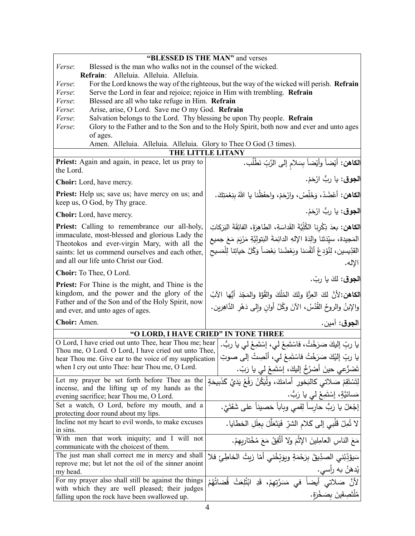|                                                                                                           | "BLESSED IS THE MAN" and verses                                                      |
|-----------------------------------------------------------------------------------------------------------|--------------------------------------------------------------------------------------|
| Blessed is the man who walks not in the counsel of the wicked.<br>Verse:                                  |                                                                                      |
| Refrain: Alleluia. Alleluia. Alleluia.                                                                    |                                                                                      |
| For the Lord knows the way of the righteous, but the way of the wicked will perish. Refrain<br>Verse:     |                                                                                      |
| Verse:<br>Serve the Lord in fear and rejoice; rejoice in Him with trembling. Refrain                      |                                                                                      |
| Blessed are all who take refuge in Him. Refrain<br>Verse:                                                 |                                                                                      |
| Arise, arise, O Lord. Save me O my God. Refrain<br>Verse:                                                 |                                                                                      |
| Salvation belongs to the Lord. Thy blessing be upon Thy people. Refrain<br>Verse:                         |                                                                                      |
| Glory to the Father and to the Son and to the Holy Spirit, both now and ever and unto ages<br>Verse:      |                                                                                      |
| of ages.                                                                                                  |                                                                                      |
| Amen. Alleluia. Alleluia. Alleluia. Glory to Thee O God (3 times).<br>THE LITTLE LITANY                   |                                                                                      |
|                                                                                                           |                                                                                      |
| Priest: Again and again, in peace, let us pray to                                                         | ا <b>لكاهن:</b> أيْضاً وأيْضاً بِسَلام إلى الرَّبِّ نَطْلُب.                         |
| the Lord.                                                                                                 |                                                                                      |
| <b>Choir:</b> Lord, have mercy.                                                                           | ا <b>لجوق</b> : يا ربُّ ارْحَمْ.                                                     |
| <b>Priest:</b> Help us; save us; have mercy on us; and                                                    | <b>الكاهن:</b> أعْضُدْ، وَخَلِّصْ، وارْحَمْ، واحفَظْنا يا اللهُ بِنِعْمَتِكَ.        |
| keep us, O God, by Thy grace.                                                                             |                                                                                      |
| <b>Choir:</b> Lord, have mercy.                                                                           | ا <b>لجوق</b> : يا رِبُّ ارْحَمْ.                                                    |
| <b>Priest:</b> Calling to remembrance our all-holy,                                                       | الكاهن: بعدَ ذِكْرِنا الكُلِّيَّةَ القَداسَةِ، الطاهِرَةَ، الفائِقَةَ البَرَكاتِ     |
| immaculate, most-blessed and glorious Lady the                                                            | المَجيدة، سيِّدَتَنا والِدَةَ الإِلهِ الدائِمَةَ البَتولِيَّةِ مَرْيَمَ مَعَ جميع    |
| Theotokos and ever-virgin Mary, with all the                                                              | القدِّيسين، لِنُؤدِعْ أَنْفُسَنا وبَعْضُنا بَعْضاً وَكُلَّ حَياتِنا لِلْمَسيح        |
| saints: let us commend ourselves and each other,<br>and all our life unto Christ our God.                 |                                                                                      |
| Choir: To Thee, O Lord.                                                                                   | الإله.                                                                               |
|                                                                                                           | الجوق: لكَ يا ربّ.                                                                   |
| <b>Priest:</b> For Thine is the might, and Thine is the<br>kingdom, and the power and the glory of the    |                                                                                      |
| Father and of the Son and of the Holy Spirit, now                                                         | الكاهن: لأنَّ لكَ العِزَّةَ ولكَ المُلْكَ والقُوَّةَ والمَجْدَ أَيُّها الآبُ         |
| and ever, and unto ages of ages.                                                                          | والإبنُ والروحُ القُدُسُ، الآنَ وكُلَّ أوانِ وإلى دَهْرِ الدَّاهِرين.                |
|                                                                                                           |                                                                                      |
| Choir: Amen.                                                                                              | ا <b>لجوق:</b> آمين.                                                                 |
| "O LORD, I HAVE CRIED" IN TONE THREE                                                                      |                                                                                      |
| O Lord, I have cried out unto Thee, hear Thou me; hear                                                    | يا ربِّ إليكَ صَرَخْتُ، فاسْتَمِعْ لي، إِسْتَمِعْ لي يا ربُّ.                        |
| Thou me, O Lord. O Lord, I have cried out unto Thee,                                                      | يا ربِّ إليْكَ صَرَخْتُ فاسْتَمِعْ لي، أنْصِتْ إلى صوتِ                              |
| hear Thou me. Give ear to the voice of my supplication<br>when I cry out unto Thee: hear Thou me, O Lord. |                                                                                      |
|                                                                                                           | تَضَرُّعي حينَ أَصْرُخُ إليكَ، إسْتَمِعْ لي يا رَبّ.                                 |
| Let my prayer be set forth before Thee as the                                                             | لِتَسْتَقِمْ صَلاتـى كالبَخور ۖ أمامَكَ، ولْيَكُنْ رَفْعُ يَدَيَّ كَذَبيحَةٍ         |
| incense, and the lifting up of my hands as the<br>evening sacrifice; hear Thou me, O Lord.                | مَسائيَّةٍ، إِسْتَمِعْ لَمِي يا رَبُّ.                                               |
| Set a watch, O Lord, before my mouth, and a                                                               |                                                                                      |
| protecting door round about my lips.                                                                      | إجْعَلْ يا رَبُّ حارِساً لِفَمي وباباً حَصيناً على شَفَتَيَّ.                        |
| Incline not my heart to evil words, to make excuses                                                       | لا تُمِلْ قَلْبِي إِلَى كَلامِ الشَّرِّ فَيَتَعَلَّلَ بِعِلَلِ الخطايا.              |
| in sins.                                                                                                  |                                                                                      |
| With men that work iniquity; and I will not                                                               | مَعَ الناسِ العامِلِينَ الإِثْمَ ولا أَتَّفِقُ مَعَ مُخْتارِبِهِمْ.                  |
| communicate with the choicest of them.                                                                    |                                                                                      |
| The just man shall correct me in mercy and shall                                                          | سَيؤَدِّبُني الصدِّيقُ بِرَحْمَةٍ وبِوَبِّخُني أَمّا زِيتُ الخاطِئِ فلا              |
| reprove me; but let not the oil of the sinner anoint                                                      |                                                                                      |
| my head.                                                                                                  | يُدهَنُ به رأسي.<br>لأنَّ صَلاتي أيضاً في مَسَرَّتِهِمْ، قَدِ ابْتُلِعَتْ قُضاتُهُمْ |
| For my prayer also shall still be against the things                                                      |                                                                                      |
| with which they are well pleased; their judges                                                            | مُلْتَصِقِينَ بِصَخْرَةٍ.                                                            |
| falling upon the rock have been swallowed up.                                                             |                                                                                      |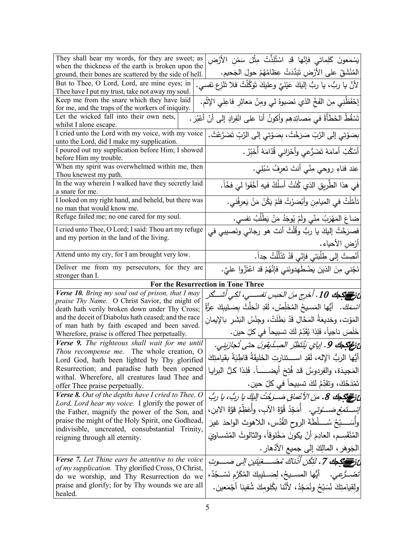| They shall hear my words, for they are sweet; as                                                              | يَسْمَعونَ كَلِماتي فإنّها قَدِ اسْتُلِذَّتْ مِثْلَ سَمْنِ الأَرْضِ                                                                                  |
|---------------------------------------------------------------------------------------------------------------|------------------------------------------------------------------------------------------------------------------------------------------------------|
| when the thickness of the earth is broken upon the<br>ground, their bones are scattered by the side of hell.  |                                                                                                                                                      |
| But to Thee, O Lord, Lord, are mine eyes; in                                                                  |                                                                                                                                                      |
| Thee have I put my trust, take not away my soul.                                                              |                                                                                                                                                      |
| Keep me from the snare which they have laid                                                                   |                                                                                                                                                      |
| for me, and the traps of the workers of iniquity.                                                             | إحْفَظْنِي مِنَ الفَخِّ الذي نَصَبوهُ لي ومِنْ مَعاثِرِ فاعِلي الإِثْمِ.                                                                             |
| Let the wicked fall into their own nets,                                                                      | تَسْقُطُ الخَطَأَةُ في مَصائِدِهِم وأكونُ أنا على انْفِرادٍ إلى أنْ أَعْبُرَ .                                                                       |
| whilst I alone escape.                                                                                        |                                                                                                                                                      |
| I cried unto the Lord with my voice, with my voice<br>unto the Lord, did I make my supplication.              | بِصَوْتِي إلى الزَّبِّ صَرَخْتُ، بِصَوْتِي إلى الزَّبِّ تَضَرَّعْتُ.                                                                                 |
| I poured out my supplication before Him; I showed                                                             |                                                                                                                                                      |
| before Him my trouble.                                                                                        | أَسْكُبُ أَمامَهُ تَضَرُّعي وأَحْزاني قُدّامَهُ أَخَبِّرُ .                                                                                          |
| When my spirit was overwhelmed within me, then<br>Thou knewest my path.                                       | عند فناءِ روحي مِنّي أنتَ تعرِفُ سُبُلِي.                                                                                                            |
| In the way wherein I walked have they secretly laid                                                           |                                                                                                                                                      |
| a snare for me.                                                                                               | في هذا الطَّرِيقِ الذي كُنْتُ أسلُكُ فيهِ أخْفَوا ليَ فخّاً.                                                                                         |
| I looked on my right hand, and beheld, but there was                                                          | تأمَّلْتُ في الميامِنِ وأَبْصَرْتُ فلَمْ يَكُنْ مَنْ يَع <sup>ْ</sup> رِفُني.                                                                        |
| no man that would know me.                                                                                    |                                                                                                                                                      |
| Refuge failed me; no one cared for my soul.                                                                   | ضاعَ المَهْرَبُ منّي ولَمْ يُوجَدُ مَ <u>نْ يَطْلُ</u> بُ نفسي.                                                                                      |
| I cried unto Thee, O Lord; I said: Thou art my refuge                                                         | فصرَخْتُ إليكَ يا ربُّ وقُلْتُ أنتَ هو رجائي ونَصيبي في                                                                                              |
| and my portion in the land of the living.                                                                     | أرْضِ الأحياء .                                                                                                                                      |
| Attend unto my cry, for I am brought very low.                                                                | أَنْصِتْ إلى طِلْبَتي فَإِنّي قَدْ تَذَلَّلْتُ جداً.                                                                                                 |
| Deliver me from my persecutors, for they are                                                                  | نَجِّني مِنَ الذينَ يَضْطَهِدونَني فإِنَّهُمْ قد اعْتَزُّوا عليَّ.                                                                                   |
|                                                                                                               |                                                                                                                                                      |
| stronger than I.                                                                                              |                                                                                                                                                      |
|                                                                                                               | For the Resurrection in Tone Three                                                                                                                   |
| Verse 10. Bring my soul out of prison, that I may                                                             |                                                                                                                                                      |
| praise Thy Name. O Christ Savior, the might of                                                                | عْ فَرَاسِيَّةِ جَابَ 10 . أُخْرِج مِنَ الْحَسِنِ نَفْسَـــيِ، لَكِي أَشْــــكُر                                                                     |
| death hath verily broken down under Thy Cross;                                                                | <i>اسْمَكَ.</i> أَيُّها المَسيحُ المُخَلِّصُ، لَقَدِ انْحَلَّتْ بِصَـليبِكَ عِزَّةُ                                                                  |
| and the deceit of Diabolus hath ceased; and the race                                                          | المَوْت، وخديعَةُ المَحَّالِ قَدْ بَطَلَتْ، وجِنْسُ البَشَر بالإيمان                                                                                 |
| of man hath by faith escaped and been saved.<br>Wherefore, praise is offered Thee perpetually.                |                                                                                                                                                      |
| Verse 9. The righteous shall wait for me until                                                                | خَلَصَ ناجياً، فَلِذا يُقَدِّمُ لَكَ تسبيحاً في كلِّ حين.                                                                                            |
| Thou recompense me. The whole creation, O                                                                     | عْ نَوْجَهُكَ 9. إيايَ يُنْتَظِّرُ الصِدّيقونَ حتى تُجازَيني.<br>أَيُّها الربُّ الإله، لَقَدِ اســـتنارتِ الخَليقَةُ قاطِبَةً بقيامتِكَ              |
| Lord God, hath been lighted by Thy glorified<br>Resurrection; and paradise hath been opened                   |                                                                                                                                                      |
| withal. Wherefore, all creatures laud Thee and                                                                | المَجيدَة، والفِردوسُ قد فُتِحَ أيضـــــــاً. فَلِذا كلُّ البرايـا                                                                                   |
| offer Thee praise perpetually.                                                                                | تَمْدَحُكَ، وتقدِّمُ لَكَ تسبيحاً في كلِّ حين.                                                                                                       |
| <b>Verse 8.</b> Out of the depths have I cried to Thee, O<br>Lord, Lord hear my voice. I glorify the power of | عْ فَصَلْحَكَ 8. مِنَ الأعْماقِ صَــرَخْتُ اللَّكَ يا ربُّ، يا ربُّ                                                                                  |
| the Father, magnify the power of the Son, and                                                                 | <i>إِسْــتَمِعْ صَــــوْتِي.</i> ۚ أَمَجِّدُ قُوَّةَ الآب، وأَعَظِّمُ قَوَّةَ الابن،                                                                 |
| praise the might of the Holy Spirit, one Godhead,                                                             |                                                                                                                                                      |
| indivisible, uncreated, consubstantial Trinity,                                                               | وأَسَــــبِّحُ سُــــــلْطَةَ الروحِ القُدُسِ، الـلاهوتَ الواحدَ غيرَ                                                                                |
| reigning through all eternity.                                                                                | المُنْقَسِـم، الـعادِمَ أَنْ يكونَ مَخْلوقاً، والثالوثَ المُتَســاوِيَ                                                                               |
|                                                                                                               | الجَوهَرِ ، المالِكَ إلى جميع الأذْهارِ .                                                                                                            |
| <b>Verse</b> 7. Let Thine ears be attentive to the voice                                                      | عْ فَ <del>ِ مِنْ الْكُلْمَةِ مِنْ اَ</del> ذَاكَ مُصْـــغِيَتَينِ إِلَى صَـــوتِ                                                                    |
| of my supplication. Thy glorified Cross, O Christ,                                                            |                                                                                                                                                      |
| do we worship, and Thy Resurrection do we<br>praise and glorify; for by Thy wounds we are all                 | تَضَــرُّعـِي.     أَيُّها المســيحُ، لِصَــليبِكَ المُكَرَّمِ نَسْــجُدُ،<br>ولقِيامتِكَ نُسَبِّحُ ونُمَجِّدُ، لأنَّنا بِكُلومِكَ شُفينا أَجْمَعين. |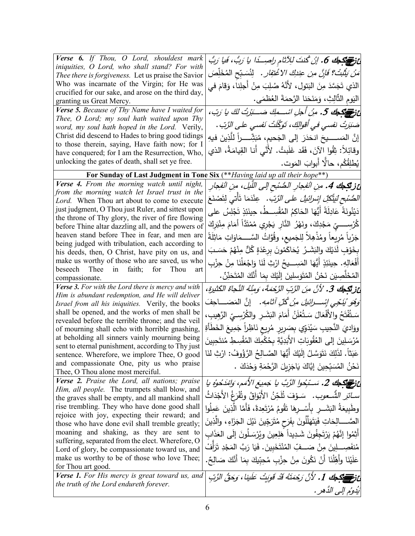| Verse 6. If Thou, O Lord, shouldest mark<br>iniquities, O Lord, who shall stand? For with                | عْ فَ <del>عَمَاكِمَا 6</del> ، إِنْ كُنتَ لِلِآتَامِ راصِــدًا يا رَبُّ، فَيا رَبُّ           |
|----------------------------------------------------------------------------------------------------------|------------------------------------------------------------------------------------------------|
| Thee there is forgiveness. Let us praise the Savior                                                      | مَ <i>نْ يَثْبُتْ؟ فَإِنَّ مِن عِندِكَ الاغْتِفار .</i> لِنُسَبِّح المُخَلِّصَ                 |
| Who was incarnate of the Virgin; for He was                                                              | الذي تَجَسَّدَ مِنَ البَتولِ، لأنَّهُ صُلِبَ مِنْ أَجلِنا، وَقامَ في                           |
| crucified for our sake, and arose on the third day,<br>granting us Great Mercy.                          | اليَومِ الثَّالِثِ، وَمَنَحَنا الرَّحمَةَ العُظمَى.                                            |
| Verse 5. Because of Thy Name have I waited for                                                           | عْ فَرَسِيَ الْمَجْحَلِ فَـ مِنْ أَجْلِ اسْـــمِكَ صَـــَبْرِتُ لَكَ يا رَبّ،                  |
| Thee, O Lord; my soul hath waited upon Thy                                                               | صَبَرَتْ نفسى فى أقوالِكَ، تَوَكَّلَتْ نَفسى على الرَّبّ .                                     |
| word, my soul hath hoped in the Lord. Verily,                                                            |                                                                                                |
| Christ did descend to Hades to bring good tidings<br>to those therein, saying, Have faith now; for I     | إِنَّ الْمَســــــيحَ انـحَدَرَ  إِلـى  الـجَـحيم،  مُبَشِّــــــراً  لَلَّذِينَ  فيهِ         |
| have conquered; for I am the Resurrection, Who,                                                          | وقائِلاً: ثِقُوا الآنَ، فَقَد غَلَبتُ. لأَنَّى أَنا القِيامَةُ، الذي                           |
| unlocking the gates of death, shall set ye free.                                                         | يُطلِقُكُم، حالًّا أبوابَ المَوت.                                                              |
|                                                                                                          | For Sunday of Last Judgment in Tone Six (** Having laid up all their hope**)                   |
| Verse 4. From the morning watch until night,                                                             | <b>ئ زنيجك 4.</b> مِنِ الْفجارِ الصُّنْبح إلى اللَّيل، مِنِ الْفجارِ                           |
| from the morning watch let Israel trust in the                                                           |                                                                                                |
| Lord. When Thou art about to come to execute                                                             | <i>الصُّنْحِ لَيَتَّكَلِّ إِسْرائَيلُ</i> ع <i>لى الرَّبِّ.   عِنْدَمَ</i> ا تَأْتي لِتَصْنَعَ |
| just judgment, O Thou just Ruler, and sittest upon<br>the throne of Thy glory, the river of fire flowing | دَيْنُونَةَ عَادِلَةً أَيُّهَا الحَاكِمُ المُقْسِــطُ، حِينَئِذٍ تَجْلِسُ على                  |
| before Thine altar dazzling all, and the powers of                                                       | كُرْسِـــــيِّ مَجْدِكَ، ونَهْرُ النَّارِ يَجْرِي مُمْتَدًّا أَمَامَ مِنْبَرِكَ                |
| heaven stand before Thee in fear, and men are                                                            | جَرْياً مُرِيعاً ومُذْهِلاً لِلجَميع، وقُوَّاتُ السَّـــمَاوَاتِ مَاثِلَةً                     |
| being judged with tribulation, each according to                                                         | بِخَوْفٍ لَدَيْكَ والبَشَـرُ. يُحَاكَمُونَ بِرِعْدَةٍ كُلٍّ مِنْهُمْ حَسَـبَ                   |
| his deeds, then, O Christ, have pity on us, and<br>make us worthy of those who are saved, us who         |                                                                                                |
| beseech Thee<br>in faith; for Thou<br>art                                                                | أَفْعَالِهِ. حِينَئِذٍ أَيُّهَا المَسِـــيحُ ارْثِ لَنَا وَاجْعَلْنَا مِنْ حِزْبِ              |
| compassionate.                                                                                           | الْمُخَلِّصِيَن نَحْنُ الْمُتَوَسِلِينَ إِلَيْكَ بِمَا أَنَّكَ الْمُتَحَنِّنٌ.                 |
| Verse 3. For with the Lord there is mercy and with                                                       | عز تَكِجُ 3. لأنَّ منَ الرَّبِّ الرَّحْمَةَ، وَمِنْهُ النَّجاةَ الكَثيرةِ،                     |
| Him is abundant redemption, and He will deliver                                                          | وَهُوَ ُيَنَّحِى إِسْــــرائِيلَ مِنْ كُلِّ آثامِهِ .    إنَّ المَصَـــــاحِفَ                 |
| Israel from all his iniquities. Verily, the books<br>shall be opened, and the works of men shall be      |                                                                                                |
| revealed before the terrible throne; and the veil                                                        | سَتُفْتَحُ والأَفْعَالَ سَتُعْلَنُ أَمَامَ البَشَرِ ۖ والكُرْسِـيِّ الرَّهِيبِ،                |
| of mourning shall echo with horrible gnashing,                                                           | ووَاديَ النَّحِيبِ سَيُدَوِّي بِصَرِيرٍ مُرِيعٍ نَاظِراً جَمِيعَ الخَطَأَةِ                    |
| at beholding all sinners vainly mourning being                                                           | مُرْسَلِينَ إِلَى العُقُوبَاتِ الأَبَدِيَّةِ بِحُكْمِكَ المُقْسِطِ مُنتَحِبِينَ                |
| sent to eternal punishment, according to Thy just<br>sentence. Wherefore, we implore Thee, O good        | عَبَثاً. لذَلِكَ نَتَوَسَّلُ إِلَيْكَ أَيُّهَا الصَّـالِحُ الرَّؤُوفُ: ارْثِ لَنَا             |
| and compassionate One, pity us who praise                                                                |                                                                                                |
| Thee, O Thou alone most merciful.                                                                        | نَحْنُ الْمُسَبِّحِينَ إِيَّاكَ يَاجَزِيلَ الرَّحْمَةِ وَحْدَكَ .                              |
| <b>Verse 2.</b> Praise the Lord, all nations; praise                                                     | ئ قانون من سَبُحول الرَّبَّ يا جَمِيعَ الأَمَمِ، وَامْدَحُوهُ يا                               |
| Him, all people. The trumpets shall blow, and<br>the graves shall be empty, and all mankind shall        | <i>سـائزِ الشَّـعوب.</i> سَـوْفَ تُلَحِّنُ الأَبْوَاقُ وتُفْرَغُ الأَجْدَاثُ                   |
| rise trembling. They who have done good shall                                                            | وطَبِيعَةُ البَشَــرِ بِأَسْــرِهَا تَقُومُ مُرْتَعِدةً، فَأَمَّا الَّذِينَ عَمِلُوا           |
| rejoice with joy, expecting their reward; and                                                            |                                                                                                |
| those who have done evil shall tremble greatly;                                                          | الصَّــــالِحَاتِ فَيَتَهَلَّلُونَ بِفَرَحٍ مُتَرَجِّينَ نَيْلَ الْجَزَاءِ ، والَّذِينَ        |
| moaning and shaking, as they are sent to                                                                 | أَثِمُوا إِنَّهُمْ يَرْتَجِفُونَ شَدِيداً هَلِعِينَ ويُرْسَلُونَ إِلَى العَذَابِ               |
| suffering, separated from the elect. Wherefore, O<br>Lord of glory, be compassionate toward us, and      | مُنفَصِــــلِينَ مِنْ صَــــفِّ المُنْتَخَبينَ. فَيَا رَبَّ المَجْدِ تَرَأَفْ                  |
| make us worthy to be of those who love Thee;                                                             | عَلَيْنَا وأَهِّلْنَا أَنْ نَكُونَ مِنْ حِزْبِ مُحِبِّيكَ بِمَا أَنَّكَ صَالِحٌ.               |
| for Thou art good.                                                                                       |                                                                                                |
| Verse 1. For His mercy is great toward us, and                                                           | عْ فِي الْمَجْمَعِ مِنْ 1. لأَنَّ رَحْمَتْهُ قَدْ قَوِيتْ عَلَينا ، وَحَقُّ الزَّبِّ           |
| the truth of the Lord endureth forever.                                                                  | يَدُوُم إِلى الدَّهر .                                                                         |
|                                                                                                          |                                                                                                |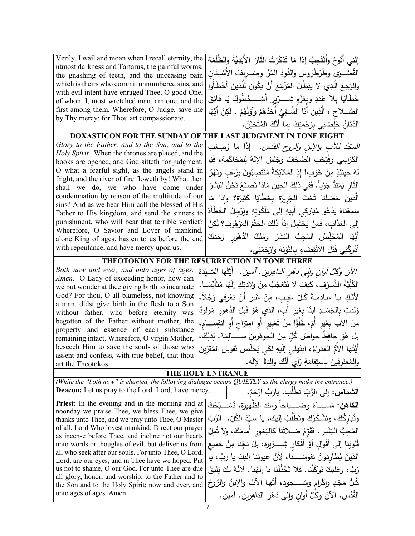| Verily, I wail and moan when I recall eternity, the<br>utmost darkness and Tartarus, the painful worms,<br>the gnashing of teeth, and the unceasing pain<br>which is theirs who commit unnumbered sins, and<br>with evil intent have enraged Thee, O good One,<br>of whom I, most wretched man, am one, and the | إِنَّنِي أَنُوحُ وأَنْتَحِبُ إِذَا مَا تَذَكَّرْتُ النَّارَ الأَبَدِيَّةَ والظُّلْمَةَ<br>القُصْــوَى وطَرْطَرُوسَ والدُّودَ المُرَّ وصَــريفَ الأَسْــذَان<br>والوَجَعَ الَّذِي لا يَبْطُلُ المُزْمَعَ أَنْ يَكُونَ لِلَّذِينَ أَخْطَأُوا<br>خَطَايَا بِلا عَدَدٍ وبِعَزْمٍ شِـــرِّيرٍ أَسْـــخَطُوكَ يَا فَائِقَ |
|-----------------------------------------------------------------------------------------------------------------------------------------------------------------------------------------------------------------------------------------------------------------------------------------------------------------|---------------------------------------------------------------------------------------------------------------------------------------------------------------------------------------------------------------------------------------------------------------------------------------------------------------------|
| first among them. Wherefore, O Judge, save me<br>by Thy mercy; for Thou art compassionate.                                                                                                                                                                                                                      | الصَّــلاحِ ، الَّذِينَ أَنَا الشَّـقِيُّ أَحَدُهُمْ وأَوَّلُهُمْ . لَكِنْ أَيُّهَا<br>الدَّيَّانُ خَلِّصْنِي بِرَحْمَتِكَ بِمَا أَنَّكَ الْمُتَحَنِّنُ.                                                                                                                                                            |
|                                                                                                                                                                                                                                                                                                                 | DOXASTICON FOR THE SUNDAY OF THE LAST JUDGMENT IN TONE EIGHT                                                                                                                                                                                                                                                        |
| Glory to the Father, and to the Son, and to the                                                                                                                                                                                                                                                                 | <i>الْمَجْدُ للأَبِ والإبنِ والروح القَدَسِ.</i> إذَا مَا وُضِعَتِ                                                                                                                                                                                                                                                  |
| Holy Spirit. When the thrones are placed, and the                                                                                                                                                                                                                                                               | الكَرَاسِي وفُتِحَتِ الصُّحُفُ وجَلَسَ الإِلَهُ لِلمُحَاكَمَةِ، فَيَا                                                                                                                                                                                                                                               |
| books are opened, and God sitteth for judgment,                                                                                                                                                                                                                                                                 |                                                                                                                                                                                                                                                                                                                     |
| O what a fearful sight, as the angels stand in<br>fright, and the river of fire floweth by! What then                                                                                                                                                                                                           | لَهُ حِينَئِذٍ مِنْ خَوْفٍ! إِذِ المَلائِكَةُ مُنْتَصِبُونَ بِرُعْبِ ونَهْرُ                                                                                                                                                                                                                                        |
| shall we do, we who have come under                                                                                                                                                                                                                                                                             | النَّارِ يَمْتَدُّ جَرْياً. فَفِي ذَلِكَ الْحِينِ مَاذا نَصنَعُ نَحْنُ البَشَرَ                                                                                                                                                                                                                                     |
| condemnation by reason of the multitude of our                                                                                                                                                                                                                                                                  | الَّذِينَ حَصَلنَا تَحْتَ الْجَرِيرَةِ بِخَطَايَا كَثيرَةٍ؟ وإِذَا مَا                                                                                                                                                                                                                                              |
| sins? And as we hear Him call the blessed of His                                                                                                                                                                                                                                                                | سَمِعْنَاهُ يَدْعُو مُبَارَكي أَبِيهِ إِلَى مَلَكُوتِهِ وِيُرْسِلُ الخَطَأَةَ                                                                                                                                                                                                                                       |
| Father to His kingdom, and send the sinners to<br>punishment, who will bear that terrible verdict?                                                                                                                                                                                                              |                                                                                                                                                                                                                                                                                                                     |
| Wherefore, O Savior and Lover of mankind,                                                                                                                                                                                                                                                                       | إِلَى العَذَابِ، فَمَنْ يَحْتَمِلُ إِذاً ذَلِكَ الحَتْمَ المَرْهُوبَ؟ لَكِنْ                                                                                                                                                                                                                                        |
| alone King of ages, hasten to us before the end                                                                                                                                                                                                                                                                 | أَيُّهَا الْمُخَلِّصُ الْمُحِبُّ الْبَشَرَ ومَلكُ الدُّهُورِ وَحْدَكَ                                                                                                                                                                                                                                               |
| with repentance, and have mercy upon us.                                                                                                                                                                                                                                                                        | أَدْرِكْنِي قَبْلَ الانْقِضَاءِ بِالتَّوْبَةِ وَارْحَمْنِي.                                                                                                                                                                                                                                                         |
|                                                                                                                                                                                                                                                                                                                 | THEOTOKION FOR THE RESURRECTION IN TONE THREE                                                                                                                                                                                                                                                                       |
| Both now and ever, and unto ages of ages.                                                                                                                                                                                                                                                                       | الآنَ وَكُلَّ أُولِنٍ وَإِلَى دَهُرِ الدَاهِرِينِ. آمينِ. ۖ أَيَّتُهَا السَّيِّدَةُ                                                                                                                                                                                                                                 |
| Amen. O Lady of exceeding honor, how can<br>we but wonder at thee giving birth to incarnate                                                                                                                                                                                                                     | الْكُلِّيَّةُ الشَّـرَفِ، كَيفَ لا نَتَعَجَّبُ مِنْ وِلادَتِكِ إِلَهًا مُتَأْنِّسًــا.                                                                                                                                                                                                                              |
| God? For thou, O all-blameless, not knowing                                                                                                                                                                                                                                                                     | لأَنَّكِ يا عادِمَةَ كُلِّ عَيبٍ، مِنْ غَيرِ أَنْ تَعْرِفي رَجُلاً،                                                                                                                                                                                                                                                 |
| a man, didst give birth in the flesh to a Son                                                                                                                                                                                                                                                                   |                                                                                                                                                                                                                                                                                                                     |
| without father, who before eternity was                                                                                                                                                                                                                                                                         | وَلَدتِ بِالْجَسَــدِ ابنًا بِغَيرِ أَبِ، الذي هُوَ قَبلَ الدُّهورِ مَولُودٌ                                                                                                                                                                                                                                        |
| begotten of the Father without mother, the<br>property and essence of each substance                                                                                                                                                                                                                            | مِنَ الأَبِ بِغَيْرِ أُمِّ، خُلُوًّا مِنْ تَغْيِيرِ أَوِ امْتِزاجٍ أَوِ انْقِســامِ،                                                                                                                                                                                                                                |
| remaining intact. Wherefore, O virgin Mother,                                                                                                                                                                                                                                                                   | بَل هُوَ حافِظٌ خَواصَّ كُلِّ مِنَ الْجَوهَرَينِ ســـــالِمَة. لِذَلِكَ،                                                                                                                                                                                                                                            |
| beseech Him to save the souls of those who                                                                                                                                                                                                                                                                      | أَيَّتُها الأُمُّ العَذراءُ، ابتَهِلي إلَيهِ لِكَي يُخَلِّصَ نُفوسَ المُقِرِّينَ                                                                                                                                                                                                                                    |
| assent and confess, with true belief, that thou<br>art the Theotokos.                                                                                                                                                                                                                                           | والمُعتَرِفينَ باستِقامَةِ رَأِي أَنَّكِ والِدَةُ الإَلَه.                                                                                                                                                                                                                                                          |
|                                                                                                                                                                                                                                                                                                                 | THE HOLY ENTRANCE                                                                                                                                                                                                                                                                                                   |
|                                                                                                                                                                                                                                                                                                                 | (While the "both now" is chanted, the following dialogue occurs QUIETLY as the clergy make the entrance.)                                                                                                                                                                                                           |
| <b>Deacon:</b> Let us pray to the Lord. Lord, have mercy.                                                                                                                                                                                                                                                       | ا <b>لشماس:</b> إلى الرَّبِّ نَطْلُبٍ. يارَبُّ ارْحَمْ.                                                                                                                                                                                                                                                             |
| <b>Priest:</b> In the evening and in the morning and at                                                                                                                                                                                                                                                         | ا <b>لكاهن:</b> مَســــاءً وصَـــــباحاً وعِند الظّهيرَةِ، نُسَـــبّحُكَ                                                                                                                                                                                                                                            |
| noonday we praise Thee, we bless Thee, we give                                                                                                                                                                                                                                                                  | ونُباركُكَ، ونَشْكُرُكَ ونَطْلُبُ إليكَ، يا سيّدَ الكُلِّ،  الرَّبَّ                                                                                                                                                                                                                                                |
| thanks unto Thee, and we pray unto Thee, O Master<br>of all, Lord Who lovest mankind: Direct our prayer                                                                                                                                                                                                         |                                                                                                                                                                                                                                                                                                                     |
| as incense before Thee, and incline not our hearts                                                                                                                                                                                                                                                              | الْمُحِبَّ البَشَرِ . فَقَوَّمْ صَــلاتَنا كالْبَخور ۖ أَمامَكَ، ولا تُمِلْ                                                                                                                                                                                                                                         |
| unto words or thoughts of evil, but deliver us from                                                                                                                                                                                                                                                             | قُلوبَنا إلى أقْوالِ أَوْ أَفْكارِ شِـــرِّيرَةٍ، بَلْ نَجِّنا مِنْ جَميع                                                                                                                                                                                                                                           |
| all who seek after our souls. For unto Thee, O Lord,<br>Lord, are our eyes, and in Thee have we hoped. Put                                                                                                                                                                                                      | الذينَ يُطارِدونَ نفوسَـــــنا، لِأَنَّ عيونَنا إليكَ يا رَبُّ، يا                                                                                                                                                                                                                                                  |
| us not to shame, O our God. For unto Thee are due                                                                                                                                                                                                                                                               | رَبُّ، وعَليكَ تَوَكَّلْنا. فَلا تَخْذُلْنا يا إلهَنا. لأنَّهُ بكَ يَليقُ                                                                                                                                                                                                                                           |
| all glory, honor, and worship: to the Father and to                                                                                                                                                                                                                                                             | كُلٌ مَجْدٍ وإِكْرام وسُـــــجود، أَيُّها الآبُ والإبنُ والرُّوحُ                                                                                                                                                                                                                                                   |
| the Son and to the Holy Spirit; now and ever, and<br>unto ages of ages. Amen.                                                                                                                                                                                                                                   |                                                                                                                                                                                                                                                                                                                     |
|                                                                                                                                                                                                                                                                                                                 | الْقُدُسِ، الآنَ وكُلَّ أُوانٍ وَإِلَى دَهْرِ الدَاهِرِينِ. آمينِ.                                                                                                                                                                                                                                                  |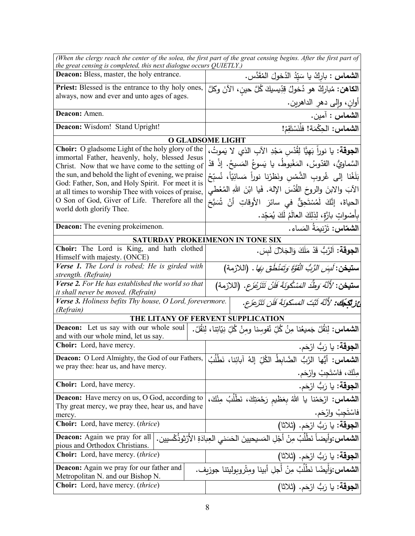| the great censing is completed, this next dialogue occurs QUIETLY.)                                    | (When the clergy reach the center of the solea, the first part of the great censing begins. After the first part of |
|--------------------------------------------------------------------------------------------------------|---------------------------------------------------------------------------------------------------------------------|
| Deacon: Bless, master, the holy entrance.                                                              | ا <b>لشماس :</b> باركْ يا سَيّدُ الدُخولَ المُقَدَّس.                                                               |
| Priest: Blessed is the entrance to thy holy ones,                                                      |                                                                                                                     |
| always, now and ever and unto ages of ages.                                                            | ا <b>لكاهن:</b> مُباركٌ هو دُخولُ قِدِّيسيكَ كُلَّ حينِ، الآنَ وكلَّ                                                |
|                                                                                                        | أوان، وإلى دهر الداهرين.                                                                                            |
| Deacon: Amen.                                                                                          | ا <b>لشماس :</b> آمين.                                                                                              |
| Deacon: Wisdom! Stand Upright!                                                                         | الشماس: الحِكْمَة! فلْنَسْتَقِمْ!                                                                                   |
|                                                                                                        | <b>O GLADSOME LIGHT</b>                                                                                             |
| <b>Choir:</b> O gladsome Light of the holy glory of the                                                | ا <b>لجوقة:</b> يا نوراً بَهيًّا لِقُدْس مَجْدِ الآبِ الذي لا يَموتُ،                                               |
| immortal Father, heavenly, holy, blessed Jesus                                                         | السَّماويُّ، القدّوسُ، المَغْبوطُ، يا يَسوعُ المَسيحُ. إذْ قدْ                                                      |
| Christ. Now that we have come to the setting of<br>the sun, and behold the light of evening, we praise |                                                                                                                     |
| God: Father, Son, and Holy Spirit. For meet it is                                                      | بَلَغْنا إلى غُروبِ الشَّمْسِ ونَظرْنا نوراً مَسائِيَّاً، نُسبِّحُ                                                  |
| at all times to worship Thee with voices of praise,                                                    | الآبَ والابنَ والروحَ القُدُسَ الإِلهَ. فَيا ابْنَ اللهِ المُعْطى                                                   |
| O Son of God, Giver of Life. Therefore all the                                                         | الْحياةَ، إِنَّكَ لَمُسْتَحِقٌّ في سائرَ الأُوقاتِ أَنْ شُبَحَّ                                                     |
| world doth glorify Thee.                                                                               | بِأَصْواتٍ بارَّةٍ، لِذلِكَ العالَمُ لَكَ يُمَجِّد.                                                                 |
| <b>Deacon:</b> The evening prokeimenon.                                                                | ا <b>لشماس:</b> تَرْنِيمَةُ المَساء.                                                                                |
|                                                                                                        | SATURDAY PROKEIMENON IN TONE SIX                                                                                    |
| Choir: The Lord is King, and hath clothed                                                              | ا <b>لجوقة:</b> اَلرَّبُّ قَدْ مَلَكَ وَالجَلالَ لَبِسَ.                                                            |
| Himself with majesty. (ONCE)                                                                           |                                                                                                                     |
| Verse 1. The Lord is robed; He is girded with                                                          | <b>ستيخن:</b> <i>لَسِِّن الرَّبُّ الْقُوَّةَ وَتَمَنْطُقَ بِهَا</i> .  (اللازمة)                                    |
| strength. (Refrain)<br>Verse 2. For He has established the world so that                               |                                                                                                                     |
| <i>it shall never be moved. (Refrain)</i>                                                              | <b>ستيخن</b> : <i>لأنَّهُ وَطِّدَ المَسْكُونَةَ فَلَنْ</i> تَتَزَعْزَع. (اللازمة)                                   |
| Verse 3. Holiness befits Thy house, O Lord, forevermore.                                               | غز تُكِجُك: 'لأَنَّهُ ثَبَّتَ المَسكونَةَ فَلَن تَتَزَعَزَع.                                                        |
| (Refrain)                                                                                              |                                                                                                                     |
| THE LITANY OF FERVENT SUPPLICATION<br>Deacon: Let us say with our whole soul                           |                                                                                                                     |
| and with our whole mind, let us say.                                                                   | <b>الشماس:</b> لِنَقُلْ جَميعُنا مِنُ كُلِّ نُفوسنا ومنْ كُلِّ نِيَاتِنا، لِنَقُلْ.                                 |
| Choir: Lord, have mercy.                                                                               | ا <b>لجوقة:</b> يا رَبُّ ارْحَم.                                                                                    |
| Deacon: O Lord Almighty, the God of our Fathers,                                                       | الشماس: أيُّها الرَّبُّ الضَّابِطُ الكُلِّ إلهُ آبائِنا، نَطْلُبُ                                                   |
| we pray thee: hear us, and have mercy.                                                                 | مِنْكَ، فاسْتَجِبْ وارْحَم.                                                                                         |
| <b>Choir:</b> Lord, have mercy.                                                                        | الجوقة: يا رَبُّ ارْحَم.                                                                                            |
| <b>Deacon:</b> Have mercy on us, O God, according to                                                   |                                                                                                                     |
| Thy great mercy, we pray thee, hear us, and have                                                       | <b>الشماس:</b> ارْحَمْنا يا اللهُ بِعَظيم رَحْمَتِكَ، نَطْلُبُ مِنْكَ،                                              |
| mercy.                                                                                                 | فاسْتَجِبْ وارْحَم.                                                                                                 |
| <b>Choir:</b> Lord, have mercy. <i>(thrice)</i>                                                        | ا <b>لجوقة:</b> يا رَبُّ ارْحَم. (ثلاثا)                                                                            |
| <b>Deacon:</b> Again we pray for all<br>pious and Orthodox Christians.                                 | <b>الشماس:</b> وأيضاً نَطْلَبُ مِنْ أَجْلِ المَسيحيينَ الحَسَنى العِبادَةِ الأرْثوذَكْسيين.                         |
| <b>Choir:</b> Lord, have mercy. <i>(thrice)</i>                                                        | ا <b>لجوقة:</b> يا رَبُّ ارْحَم. (ثلاثا)                                                                            |
| <b>Deacon:</b> Again we pray for our father and                                                        | ا <b>لشماس:</b> وَأَيضًا نَطْلُبُ مِنْ أَجل أبينا ومثْروبوليتنا جوزيف.                                              |
| Metropolitan N. and our Bishop N.                                                                      |                                                                                                                     |
| <b>Choir:</b> Lord, have mercy. <i>(thrice)</i>                                                        | ا <b>لجوقة:</b> يا رَبُّ ارْحَم. (ثلاثا)                                                                            |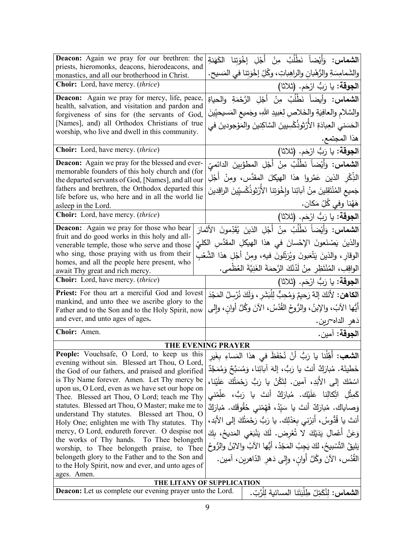| Deacon: Again we pray for our brethren: the<br>priests, hieromonks, deacons, hierodeacons, and<br>monastics, and all our brotherhood in Christ. | ا <b>لشماس:</b> وَأَيْضاً نَطْلُبُ مِنْ أَجْلِ إِخْوَتنا الكَهَنةِ<br>والشَمامِسَةِ والرُّهْبانِ والراهِباتِ، وكُلِّ إخْوَتِنا في المَسيحِ. |
|-------------------------------------------------------------------------------------------------------------------------------------------------|---------------------------------------------------------------------------------------------------------------------------------------------|
| Choir: Lord, have mercy. (thrice)                                                                                                               | <b>الجوقة:</b> يا رَبُّ ارْحَم. (ثلاثا)                                                                                                     |
| <b>Deacon:</b> Again we pray for mercy, life, peace,                                                                                            | ا <b>لشماس:</b> وأيضاً نَطْلُبُ مِنْ أَجْلِ الرَّحْمَةِ والحياةِ                                                                            |
| health, salvation, and visitation and pardon and<br>forgiveness of sins for (the servants of God,                                               | والسَّلام والعافِيَةِ والخَلاصِ لِعَبيدِ اللهِ، وجَميع المَسيحيِّينَ                                                                        |
| [Names], and) all Orthodox Christians of true                                                                                                   | الحَسَنى العِبادَةِ الأَرْثوذُكْسِيينَ السَّاكِنينَ والمَوْجودينَ في                                                                        |
| worship, who live and dwell in this community.                                                                                                  | هذا المجتمع.                                                                                                                                |
| Choir: Lord, have mercy. (thrice)                                                                                                               | الجوقة: يا رَبُّ ارْحَم. (ثلاثا)                                                                                                            |
| <b>Deacon:</b> Again we pray for the blessed and ever-                                                                                          | ا <b>لشماس:</b> وَأَيْضاً نَطْلُبُ مِنْ أَجْلِ المطوَّبِينَ الدائميِّ                                                                       |
| memorable founders of this holy church and (for<br>the departed servants of God, [Names], and all our                                           | الذِّكْرِ   الذينِ   عَمَّروا   هذا   الهيكلَ   المقدَّس،   ومنْ   أَجْلِ                                                                   |
| fathers and brethren, the Orthodox departed this                                                                                                | جَميع المُنْتَقِلينَ مِنْ آبائِنا وإِخْوَتِنا الأَرْثوذُكْسيِّينَ الراقِدينَ                                                                |
| life before us, who here and in all the world lie<br>asleep in the Lord.                                                                        | هَهُنا وفي كُلِّ مَكان.                                                                                                                     |
| <b>Choir:</b> Lord, have mercy. (thrice)                                                                                                        | ا <b>لجوقة:</b> يا رَبُّ ارْحَم. (ثلاثا)                                                                                                    |
| <b>Deacon:</b> Again we pray for those who bear                                                                                                 | <b>الشماس:</b> وَأَيْضاً نَطْلُبُ مِنْ أَجْلِ الذينَ يُقَدِّمونَ الأَثمارَ                                                                  |
| fruit and do good works in this holy and all-<br>venerable temple, those who serve and those                                                    | والذينَ يَصْنَعونَ الإِحْسانَ في هذا الهيكلِ المقدَّسِ الكليِّ                                                                              |
| who sing, those praying with us from their                                                                                                      | الوقارِ ، والذينَ يَتْعَبونَ ويُرَتِّلونَ فيهِ، ومِنْ أَجْلِ هذا الشَّعْبِ                                                                  |
| homes, and all the people here present, who<br>await Thy great and rich mercy.                                                                  | الواقِفِ، المُنْتَظِرِ مِنْ لَدُنْكَ الرَّحمَةَ الغَنِيَّةَ العُظْمى.                                                                       |
| Choir: Lord, have mercy. (thrice)                                                                                                               | ا <b>لجوقة:</b> يا رَبُّ ارْحَم. (ثلاثا)                                                                                                    |
| Priest: For thou art a merciful God and lovest                                                                                                  | ا <b>لكاهن:</b> لأَنَكَ إلهٌ رَحيمٌ وَمُحِبٌّ لِلْبَشَرِ ، وَلَكَ نُرْسِلُ المَجْدَ                                                         |
| mankind, and unto thee we ascribe glory to the                                                                                                  | أَيُّها الآبُ، والإبنُ، والرُّوحُ القُدُسُ، الآنَ وكُلَّ أوانِ، وإلى                                                                        |
| Father and to the Son and to the Holy Spirit, now<br>and ever, and unto ages of ages.                                                           | ذهر الداه~رين.                                                                                                                              |
| Choir: Amen.                                                                                                                                    | الجوقة: آمين.                                                                                                                               |
|                                                                                                                                                 | THE EVENING PRAYER                                                                                                                          |
|                                                                                                                                                 | People: Vouchsafe, O Lord, to keep us this المَساءِ بِغَيرِ المَساءِ بِغَيرِ اللهُ اللهُ بِعَيْنِ وَ اللهُ ال                               |
| evening without sin. Blessed art Thou, O Lord,                                                                                                  | خَطْيئَة. مُبارَكٌ أَنتَ يا رَبُّ، إِلهَ آبائِنا، وَمُسَبَّحٌ وَمُمَجَّدٌ                                                                   |
| the God of our fathers, and praised and glorified<br>is Thy Name forever. Amen. Let Thy mercy be                                                | اسْمُكَ إلى الأَبَدِ، آمين. لِتَكُنْ يا رَبُّ رَحْمَتُكَ عَلَيْنا،                                                                          |
| upon us, O Lord, even as we have set our hope on                                                                                                |                                                                                                                                             |
| Thee. Blessed art Thou, O Lord; teach me Thy<br>statutes. Blessed art Thou, O Master; make me to                                                | كَمِثْل اتِّكالِنا عَلَيْك. مُبارَكٌ أنتَ يا رَبُّ، علِمْنى                                                                                 |
| understand Thy statutes. Blessed art Thou, O                                                                                                    | وَصاياك. مُبارَكٌ أنتَ يا سَيّدُ، فَهّمْنى حُقُوقَك. مُبارَكٌ                                                                               |
| Holy One; enlighten me with Thy statutes. Thy                                                                                                   | أنتَ يا قُدُّوسُ، أُنِرْني بِعَدْلِك. يا رَبُّ رَحْمَتُكَ إلى الأَبَد،                                                                      |
| mercy, O Lord, endureth forever. O despise not<br>the works of Thy hands. To Thee belongeth                                                     | وَعَنْ أَعْمالِ يَدَيْكَ لا تُعْرِض. لَكَ يَنْبَغي المَديحُ، بِكَ                                                                           |
| worship, to Thee belongeth praise, to Thee                                                                                                      | يَليقُ التَّسْبِيحُ، لكَ يَجِبُ المَجْدُ، أَيُّها الآبُ والابْنُ والرُّوحُ                                                                  |
| belongeth glory to the Father and to the Son and<br>to the Holy Spirit, now and ever, and unto ages of                                          | القُدُس، الآنَ وكُلَّ أُوانِ، وإِلَى دَهْرِ الدَّاهرينِ، آمين.                                                                              |
| ages. Amen.                                                                                                                                     |                                                                                                                                             |
|                                                                                                                                                 | THE LITANY OF SUPPLICATION                                                                                                                  |
| <b>Deacon:</b> Let us complete our evening prayer unto the Lord.                                                                                | ا <b>لشماس:</b> لنُكَمِّلْ طِلْبَتَنا المسائية للْرَّبّ.                                                                                    |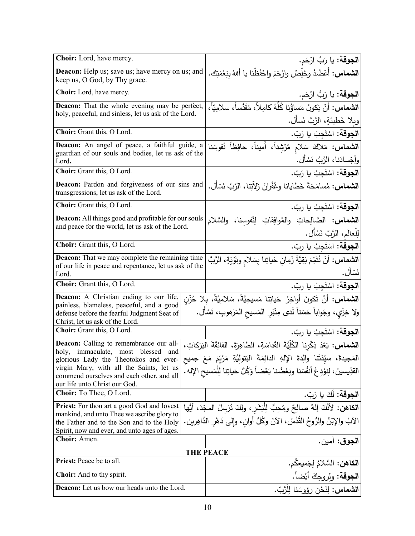| Choir: Lord, have mercy.                                                                                               | ا <b>لجوقة:</b> يا رَبُّ ارْحَم.                                                            |
|------------------------------------------------------------------------------------------------------------------------|---------------------------------------------------------------------------------------------|
| <b>Deacon:</b> Help us; save us; have mercy on us; and<br>keep us, O God, by Thy grace.                                | ا <b>لشماس:</b> أَعْضُدْ وخَلِّصْ وارْحَمْ واحْفَظْنا يا أللهُ بِنِعْمَتِك.                 |
| Choir: Lord, have mercy.                                                                                               | ا <b>لجوقة:</b> يا رَبُّ ارْحَم.                                                            |
| <b>Deacon:</b> That the whole evening may be perfect,                                                                  | ا <b>لشماس:</b> أنْ يَكو <u>نَ</u> مَساؤُنِا كُلُّهُ كامِلاً، مُقَدَّساً، سلامِيّاً،        |
| holy, peaceful, and sinless, let us ask of the Lord.                                                                   | وبلا خَطيئةٍ، الرَّبَّ نَسأَل.                                                              |
| Choir: Grant this, O Lord.                                                                                             | <b>الجوقة:</b> اسْتَجِبْ يا رَبّ.                                                           |
| Deacon: An angel of peace, a faithful guide, a                                                                         | الشماس: مَلاكَ سَلامٍ مُرْشِداً، أَميناً، حافِظاً نُفوسَنا                                  |
| guardian of our souls and bodies, let us ask of the<br>Lord.                                                           | وأجْسادَنا، الرَّبَّ نَسْأَل.                                                               |
| Choir: Grant this, O Lord.                                                                                             | <b>الجوقة:</b> اسْتَجِبْ يا رَبّ.                                                           |
| Deacon: Pardon and forgiveness of our sins and<br>transgressions, let us ask of the Lord.                              | ا <b>لشماس:</b> مُسامَحَةَ خَطايانا وغُفْرانَ زَلاّتِنا، الرَّبَّ نَسْأَل.                  |
| Choir: Grant this, O Lord.                                                                                             | ا <b>لجوقة:</b> اسْتَجِبْ يا ربّ.                                                           |
| <b>Deacon:</b> All things good and profitable for our souls                                                            | الشماس: الصَّالِحاتِ والمُوافِقاتِ لِنُفوسنا، والسَّلامَ                                    |
| and peace for the world, let us ask of the Lord.                                                                       | لِلْعالَمِ، الرَّبَّ نَسْأَل.                                                               |
| Choir: Grant this, O Lord.                                                                                             | ا <b>لجوقة:</b> اسْتَجِبْ يا ربّ.                                                           |
| <b>Deacon:</b> That we may complete the remaining time                                                                 | ا <b>لشماس:</b> أَنْ نُتَمِّمَ بَقِيَّةَ زَمانِ حَياتِنا بِسَلامِ وتَوْبَةٍ، الرَّبَّ       |
| of our life in peace and repentance, let us ask of the<br>Lord.                                                        | نَسْأَل.                                                                                    |
| Choir: Grant this, O Lord.                                                                                             | <b>الجوقة:</b> اسْتَجِبْ يا ربّ.                                                            |
| Deacon: A Christian ending to our life,                                                                                | ا <b>لشماس:</b> أنْ تَكونَ أواخِرُ حَياتِنا مَسيحِيَّةً، سَلامِيَّةً، بِلا خُزْنِ           |
| painless, blameless, peaceful, and a good<br>defense before the fearful Judgment Seat of                               | ولا خِزْيٍ، وجَواباً حَسَناً لَدى مِنْبَرِ  المَسيح المَرْهوبِ، نَسْأَل.                    |
| Christ, let us ask of the Lord.                                                                                        |                                                                                             |
| Choir: Grant this, O Lord.                                                                                             | ا <b>لجوقة:</b> اسْتَجِبْ يا ربّ.                                                           |
| Deacon: Calling to remembrance our all-<br>holy, immaculate, most blessed<br>and                                       | ا <b>لشماس:</b> بَعْدَ ذِكْرِنا الكُلِّيَّةَ القَداسَةِ، الطاهِرَةَ، الفائِقَةَ البَرَكاتِ، |
| glorious Lady the Theotokos and ever-                                                                                  | المَجيدةَ، سيِّدَتَنا والِدةَ الإِلهِ الدائِمَةَ البَتولِيَّةِ مَرْيَمَ مَعَ جميع           |
| virgin Mary, with all the Saints, let us<br>commend ourselves and each other, and all<br>our life unto Christ our God. | القدِّيسينَ، لِنوْدِعْ أَنفُسَنا وبَعْضُنا بَعْضاً وَكُلَّ حَياتِنا لِلْمَسيحِ الإِله.      |
| Choir: To Thee, O Lord.                                                                                                | ا <b>لجوقة:</b> لَكَ يا رَبّ.                                                               |
| <b>Priest:</b> For thou art a good God and lovest                                                                      | الكاهن: لأَنَّكَ إلهٌ صالِحٌ ومُحِبٌّ لِلْبَشَرِ ، ولكَ نُرْسِلُ المجْدَ، أيُّها            |
| mankind, and unto Thee we ascribe glory to<br>the Father and to the Son and to the Holy                                | الآبُ والإبْنُ والرُّوحُ القُدُسُ، الآنَ وكُلَّ أوانٍ، وإلى دَهْرِ الدَّاهِرين.             |
| Spirit, now and ever, and unto ages of ages.                                                                           |                                                                                             |
| <b>Choir:</b> Amen.                                                                                                    | ا <b>لجوق</b> : آمين.                                                                       |
|                                                                                                                        | <b>THE PEACE</b>                                                                            |
| Priest: Peace be to all.                                                                                               | الكاهن: السَّلامُ لِجَميعِكم.                                                               |
| <b>Choir:</b> And to thy spirit.                                                                                       | ا <b>لجوقة</b> : ولروحِكَ أيْضاً.                                                           |
| <b>Deacon:</b> Let us bow our heads unto the Lord.                                                                     | ا <b>لشماس:</b> لِنَحْن رؤوسَنا لِلْرَّبّ.                                                  |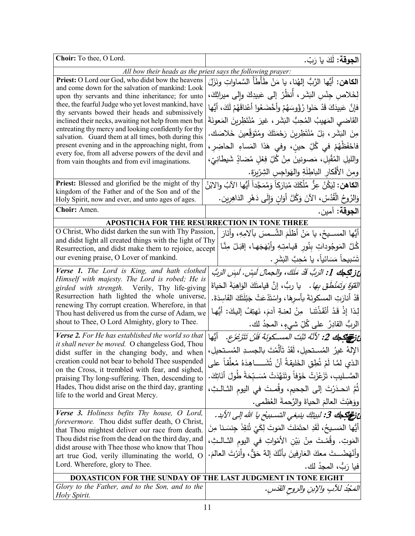| Choir: To thee, O Lord.                                                                                                 | ا <b>لجوقة:</b> لَكَ يا رَبّ.                                                         |  |
|-------------------------------------------------------------------------------------------------------------------------|---------------------------------------------------------------------------------------|--|
|                                                                                                                         | All bow their heads as the priest says the following prayer:                          |  |
| Priest: O Lord our God, who didst bow the heavens                                                                       | ا <b>لكاهن:</b> أيُّها الرَّبُّ إلهُنا، يا مَنْ طَأطَأ السَّماواتِ ونَزَلَ            |  |
| and come down for the salvation of mankind: Look                                                                        | لِخَلاصِ جِنْسِ النَشَرِ ، أَنظُرْ إلى عَبيدِكَ وإلى ميراثِكَ،                        |  |
| upon thy servants and thine inheritance; for unto<br>thee, the fearful Judge who yet lovest mankind, have               |                                                                                       |  |
| thy servants bowed their heads and submissively                                                                         | فإِنَّ عَبِيدَكَ قَدْ حَنَوا رُؤُوسَهُمْ وأَخْضَعُوا أَعْناقَهُمْ لَكَ، أَيُّها       |  |
| inclined their necks, awaiting not help from men but                                                                    | القاضى المَهيبُ المُحِبُّ البَشَرِ ، غيرَ مُنْتَظِرِينَ المَعونَةَ                    |  |
| entreating thy mercy and looking confidently for thy                                                                    | مِنَ البَشَرِ ، بَلْ مُنْتَظِرِينَ رَحْمَتَكَ وِمُتَوَقِّعِينَ خَلاصَك.               |  |
| salvation. Guard them at all times, both during this                                                                    |                                                                                       |  |
| present evening and in the approaching night, from<br>every foe, from all adverse powers of the devil and               | فاحْفَظْهُمْ في كُلِّ حينِ، وفي هَذا المَساءِ الحاضِر،                                |  |
| from vain thoughts and from evil imaginations.                                                                          | والليلِ المُقْبِلِ، مَصونينَ مِنْ كُلِّ فِعْلٍ مُضادِّ شَيطانِيّ،                     |  |
|                                                                                                                         | ومنَ الأَفْكارِ الباطِلَةِ والهَواجِسِ الشِّرِّيرَةِ.                                 |  |
| Priest: Blessed and glorified be the might of thy                                                                       | ا <b>لكاهن:</b> لِيَكُنْ عِزٌ مُلْكَكَ مُبَارَكاً وَمُمَجَّداً أَيُّها الآبُ والابْنُ |  |
| kingdom of the Father and of the Son and of the<br>Holy Spirit, now and ever, and unto ages of ages.                    | وَالزُوحُ الْقُدُسْ، الآنَ وَكُلَّ أَوَانٍ وَإِلَى دَهْرِ الدَاهِرِينِ.               |  |
| Choir: Amen.                                                                                                            | الجوقة: آمين.                                                                         |  |
|                                                                                                                         | APOSTICHA FOR THE RESURRECTION IN TONE THREE                                          |  |
| O Christ, Who didst darken the sun with Thy Passion,<br>أَيُّها المســـيحُ، يا مَنْ أظلَمَ الشَّــمسَ بآلامِهِ، وأنَارَ |                                                                                       |  |
| and didst light all created things with the light of Thy                                                                |                                                                                       |  |
| Resurrection, and didst make them to rejoice, accept                                                                    | كُلَّ المَوجُوداتِ بِنُورٍ قيامتِهِ وأَبْهَجَها، إقبَلْ مِنَّا                        |  |
| our evening praise, O Lover of mankind.                                                                                 | تَسْبِيحاً مَسَائِياً، يا مُحِبَّ البَشَرِ .                                          |  |
| Verse 1. The Lord is King, and hath clothed                                                                             | عْ زِيْكِجِكَ 1: الرَبُّ قَدْ مَلَكَ، والجمالُ لَبِسْ. لَبِسَ الرَبُّ                 |  |
| Himself with majesty. The Lord is robed; He is                                                                          | <i>القوّة وَتَمَنْطَقَ بِها.</i> يا ربُّ، إنَّ قيامتَكَ الوَاهِبَةَ الحَياةَ          |  |
| girded with strength. Verily, Thy life-giving                                                                           |                                                                                       |  |
| Resurrection hath lighted the whole universe,<br>renewing Thy corrupt creation. Wherefore, in that                      | قَدْ أنارَتِ المسكونَةَ بأسرهَا، واسْتَدْعَتْ جَبْلَتَكَ الفَاسِدَةَ.                 |  |
| Thou hast delivered us from the curse of Adam, we                                                                       | لِذا إِذْ قَدْ أَنْقَذْتَنا ۖ مِنْ لعنةِ آدمَ، نَهتِفُ إِليكَ: أَيُّها                |  |
| shout to Thee, O Lord Almighty, glory to Thee.                                                                          | الربُّ القادِرُ  على كُلِّ شيءٍ، المجدُ لك.                                           |  |
| Verse 2. For He has established the world so that                                                                       | عَ <i>نَوْ الْمَحْكَ 2: لأَنَّهُ ثَبَّتَ المســكونَةَ فَلَنْ تَتَزَعْزَع.</i> أَيُّها |  |
| it shall never be moved. O changeless God, Thou                                                                         | الإِلهُ غيرُ المُستحيلِ، لَقَدْ تَأَلَّمْتَ بِالجسدِ المُستحيلِ،                      |  |
| didst suffer in the changing body, and when<br>creation could not bear to behold Thee suspended                         | الذي لمَّا لَمْ تُطِقٍ الخَليقةُ أَنْ تُشَــــاهِدَهُ مُعلَّقاً على                   |  |
| on the Cross, it trembled with fear, and sighed,                                                                        |                                                                                       |  |
| praising Thy long-suffering. Then, descending to<br>Hades, Thou didst arise on the third day, granting                  | الصَّــليب، تَزَعْزَتْ خَوْفاً وتَنَهَّدَتْ مُسَـبّحَةً طُولَ أنَاتِكَ.               |  |
| life to the world and Great Mercy.                                                                                      | ثَمَّ انحـذَرْتَ إلى الجحيم، وقُصتَ في اليوم الثــالـثِ،                              |  |
|                                                                                                                         | ووَهَبْتَ العالمَ الحياةَ والرَّحمةَ العُظمى.                                         |  |
| <b>Verse 3.</b> Holiness befits Thy house, O Lord,<br>forevermore. Thou didst suffer death, O Christ,                   | عْ فِيَ جَهْدَ فَي اللَّهِ لِلَّهِ عَنْ السَّنْدِيدُ يا الله إلى الأَبد.              |  |
| that Thou mightest deliver our race from death.                                                                         | أَيُّها المَسـيحُ، لَقَدِ احتَمَلتَ المَوتَ لِكَيْ تُنقِذَ جِنسَنا مِنَ               |  |
| Thou didst rise from the dead on the third day, and                                                                     | المَوتِ. وقُمْـتَ مِنْ بَيْنِ الأَمْواتِ في اليومِ الثــالــثِ،                       |  |
| didst arouse with Thee those who know that Thou                                                                         |                                                                                       |  |
| art true God, verily illuminating the world, O                                                                          | وأَنْهَضْــدَّ معكَ العَارِفينَ بِأَنَّكَ إِلَهٌ حَقٌّ، وأُنرْتَ العالَمَ.            |  |
| Lord. Wherefore, glory to Thee.                                                                                         | فيا رَبُّ، المجدُ لك.                                                                 |  |
|                                                                                                                         | <b>DOXASTICON FOR THE SUNDAY OF THE LAST JUDGMENT IN TONE EIGHT</b>                   |  |
| Glory to the Father, and to the Son, and to the                                                                         | الْمَحْدُ للآبِ والإبنِ والروح القَدَسِ.                                              |  |
| Holy Spirit.                                                                                                            |                                                                                       |  |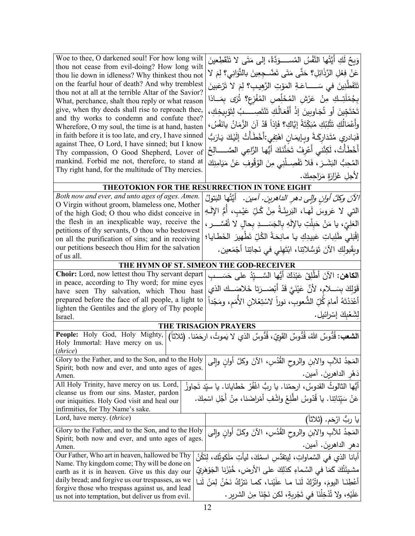| and thy works to condemn and confute thee?<br>Wherefore, O my soul, the time is at hand, hasten<br>in faith before it is too late, and cry, I have sinned<br>against Thee, O Lord, I have sinned; but I know<br>Thy compassion, O Good Shepherd, Lover of<br>mankind. Forbid me not, therefore, to stand at | بِجُمْلَتِـكِ مِنْ عَرْشِ المُخَلِّصِ المُفْزِعِ؟ تُرَى بِمَــاذا<br>تَحْتَجِّينَ أَو تُجَاوِينَ إِذْ أَفْعَالُكِ تَنْتَصِــــبُ لِتَوْبِيخِكِ،<br>وأَعْمَالُكِ تَثْلِبُكِ مُبَكِّتَةً إِيَّاكِ؟ فَإِذاً قَدْ آنَ الزَّمَانُ يانَفْسُ،<br>فَبَادري مُتَدَارِكَةً وبِإِيمَانِ اهْتِفِي:أَخْطَأْتُ إِلَيْكَ يَارَبُ<br>أَخْطَأْتُ، لَكِنَّنى أَعْرِفُ تَحَنُّنَكَ أَيُّها الرَّاعِي الصَّـــــالِحُ<br>المُحِبُّ البَشَـرَ ، فَلا تَفْصِــلْنِي مِنَ الوُقُوفِ عَنْ مَيَامِنِكَ |
|-------------------------------------------------------------------------------------------------------------------------------------------------------------------------------------------------------------------------------------------------------------------------------------------------------------|-------------------------------------------------------------------------------------------------------------------------------------------------------------------------------------------------------------------------------------------------------------------------------------------------------------------------------------------------------------------------------------------------------------------------------------------------------------------------------|
| Thy right hand, for the multitude of Thy mercies.                                                                                                                                                                                                                                                           | لأجلِ غَزَارَةٍ مَرَاحِمِكَ.                                                                                                                                                                                                                                                                                                                                                                                                                                                  |
| THEOTOKION FOR THE RESURRECTION IN TONE EIGHT                                                                                                                                                                                                                                                               |                                                                                                                                                                                                                                                                                                                                                                                                                                                                               |
| Both now and ever, and unto ages of ages. Amen.<br>O Virgin without groom, blameless one, Mother<br>of the high God; O thou who didst conceive in                                                                                                                                                           | الآنَ وكُلَّ أُولنِ وإلى دهرِ الداهرينِ. آمين.  أيَّتُها البَتولُ<br>التي لا عَروسَ لَهـا، البَريئَةُ مِنْ كُلِّ عَيْبٍ، أَمُّ الإِلَـهِ                                                                                                                                                                                                                                                                                                                                      |
| the flesh in an inexplicable way, receive the                                                                                                                                                                                                                                                               | الْعَلِيِّ، يا مَنْ حَبِلْتِ بالإِلَهِ بِالْجَسَـــدِ بِحالِ لا تُفَسَّــــر ،                                                                                                                                                                                                                                                                                                                                                                                                |
| petitions of thy servants, O thou who bestowest<br>on all the purification of sins; and in receiving                                                                                                                                                                                                        | إِقْبَلِي طَلِباتِ عَبِيدِكِ يا مانِحَةً الكُلِّ تَطْهِيرَ الخَطايا؛                                                                                                                                                                                                                                                                                                                                                                                                          |
| our petitions beseech thou Him for the salvation<br>of us all.                                                                                                                                                                                                                                              | وبِقَبولِكِ الآنَ تَوَسُّلاتِنا، ابْتَهِلِّي في نَجاتِنا أَجْمَعين.                                                                                                                                                                                                                                                                                                                                                                                                           |
| THE HYMN OF ST. SIMEON THE GOD-RECEIVER                                                                                                                                                                                                                                                                     |                                                                                                                                                                                                                                                                                                                                                                                                                                                                               |
|                                                                                                                                                                                                                                                                                                             |                                                                                                                                                                                                                                                                                                                                                                                                                                                                               |
| Choir: Lord, now lettest thou Thy servant depart<br>in peace, according to Thy word; for mine eyes                                                                                                                                                                                                          | ا <b>لكاهن:</b> الآنَ أَطْلِقْ عَبْدَكَ أَيُّها السَّـــيّدُ على حَسَـــبِ                                                                                                                                                                                                                                                                                                                                                                                                    |
| have seen Thy salvation, which Thou hast                                                                                                                                                                                                                                                                    | قَوْلِكَ بِسَـــلامِ، لأَنَّ عَيْنَيَّ قَدْ أَبْصَـــرَتا خَلاصَـــك الذي                                                                                                                                                                                                                                                                                                                                                                                                     |
| prepared before the face of all people, a light to<br>lighten the Gentiles and the glory of Thy people                                                                                                                                                                                                      | أَعْدَدْتَهُ أَمامَ كُلِّ الشُّعوبِ، نوراً لاسْتِعْلان الأَمَم، ومَجْداً                                                                                                                                                                                                                                                                                                                                                                                                      |
| Israel.                                                                                                                                                                                                                                                                                                     | لِشَعْبِكَ إِسْرِائِيل.                                                                                                                                                                                                                                                                                                                                                                                                                                                       |
| THE TRISAGION PRAYERS                                                                                                                                                                                                                                                                                       |                                                                                                                                                                                                                                                                                                                                                                                                                                                                               |
| People: Holy God, Holy Mighty,<br>Holy Immortal: Have mercy on us.<br>(thrice)                                                                                                                                                                                                                              | ا <b>لشعب:</b> قُدُّوسٌ اللهُ، قُدُّوسٌ القَوِيّ، قُدُّوسٌ الذي لا يَموتُ، ارحَمْنا.  (ثلاثاً)                                                                                                                                                                                                                                                                                                                                                                                |
| Glory to the Father, and to the Son, and to the Holy                                                                                                                                                                                                                                                        | المَجدُ للأبِ والابنِ والروح القُدُسِ، الآنَ وكلَّ أوانِ وإلى                                                                                                                                                                                                                                                                                                                                                                                                                 |
| Spirit; both now and ever, and unto ages of ages.<br>Amen.                                                                                                                                                                                                                                                  | دَهْرِ الداهرينَ. آمين.                                                                                                                                                                                                                                                                                                                                                                                                                                                       |
| All Holy Trinity, have mercy on us. Lord,                                                                                                                                                                                                                                                                   | أَيُّها الثالوثُ القدوسُ، ارحمْنا. يا ربُّ اغْفُرْ خَطايانا. يا سيّد تَجاوزْ                                                                                                                                                                                                                                                                                                                                                                                                  |
| cleanse us from our sins. Master, pardon<br>our iniquities. Holy God visit and heal our<br>infirmities, for Thy Name's sake.                                                                                                                                                                                | عَنْ سَيِّئاتِنا. يا قُدّوسُ اطَّلِعْ واشْفِ أَمْراضَنا، مِنْ أَجْلِ اسْمِكَ.                                                                                                                                                                                                                                                                                                                                                                                                 |
|                                                                                                                                                                                                                                                                                                             | يا ربُ ارْحَم. (ثلاثا)                                                                                                                                                                                                                                                                                                                                                                                                                                                        |
| Lord, have mercy. (thrice)                                                                                                                                                                                                                                                                                  |                                                                                                                                                                                                                                                                                                                                                                                                                                                                               |
| Glory to the Father, and to the Son, and to the Holy                                                                                                                                                                                                                                                        | المَجدُ للأبِ والابنِ والروحِ القُدُسِ، الآنَ وكلَّ أوانِ وإلى                                                                                                                                                                                                                                                                                                                                                                                                                |
| Spirit; both now and ever, and unto ages of ages.<br>Amen.                                                                                                                                                                                                                                                  | دهرِ الداهرينَ. آمين.                                                                                                                                                                                                                                                                                                                                                                                                                                                         |
| Our Father, Who art in heaven, hallowed be Thy                                                                                                                                                                                                                                                              |                                                                                                                                                                                                                                                                                                                                                                                                                                                                               |
| Name. Thy kingdom come; Thy will be done on                                                                                                                                                                                                                                                                 | أبانـا الذي في السَّماواتِ، لِيتقدَّس اسمُكَ، ليأتِ مَلَكوتُك، لِتَكُنْ                                                                                                                                                                                                                                                                                                                                                                                                       |
| earth as it is in heaven. Give us this day our<br>daily bread; and forgive us our trespasses, as we<br>forgive those who trespass against us, and lead                                                                                                                                                      | مشيئَتُكَ كَمَا في السَّماءِ كذلِكَ على الأرض، خُبْزَنِا الْجَوْهَرِيّ<br>أَعْطِنَا اليومَ، واتْرُكْ لَذَا ما علَيْنا، كما نَترُكُ نَحْنُ لِمَنْ لَنا                                                                                                                                                                                                                                                                                                                         |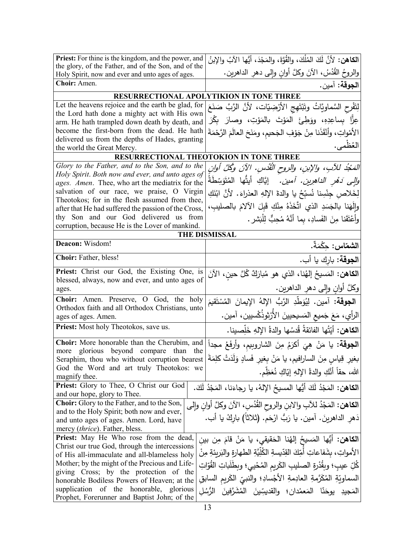| Priest: For thine is the kingdom, and the power, and                                                                           | الكاهن: لأنَّ لَكَ المُلْكَ، والقُوَّةَ، والمَجْدَ، أَيُّها الآبُ والإبنُ         |
|--------------------------------------------------------------------------------------------------------------------------------|-----------------------------------------------------------------------------------|
| the glory, of the Father, and of the Son, and of the<br>Holy Spirit, now and ever and unto ages of ages.                       | والروحُ القُدُسُ، الآنَ وكلَّ أوانِ وإلى دهرِ الداهرين.                           |
| Choir: Amen.                                                                                                                   | ا <b>لجوقة:</b> آمين.                                                             |
| RESURRECTIONAL APOLYTIKION IN TONE THREE                                                                                       |                                                                                   |
| Let the heavens rejoice and the earth be glad, for                                                                             | لِتَفْرِحِ السَّماويَّاتُ وتَبْتَهِجِ الأَرْضِيّاتِ، لأَنَّ الرَّبَّ صَنَعَ       |
| the Lord hath done a mighty act with His own                                                                                   |                                                                                   |
| arm. He hath trampled down death by death, and                                                                                 | عِزًّا بِساعِدِهِ، ووَطِئَ المَوْتَ بالمَوْتِ، وصارَ بِكْرَ                       |
| become the first-born from the dead. He hath                                                                                   | الأَمْواتِ، وأَنْقَذَنا مِنْ جَوْفِ الجَحيمِ، ومَنَحَ العالَمَ الرَّحْمَةَ        |
| delivered us from the depths of Hades, granting<br>the world the Great Mercy.                                                  | العُظْمى.                                                                         |
|                                                                                                                                | RESURRECTIONAL THEOTOKION IN TONE THREE                                           |
| Glory to the Father, and to the Son, and to the                                                                                | المَجْدُ للأَبِ، والإبنِ، والروح الْقُدُسِ. الآنَ وكُلَّ أُوانِ                   |
| Holy Spirit. Both now and ever, and unto ages of                                                                               |                                                                                   |
| ages. Amen. Thee, who art the mediatrix for the                                                                                | <i>والى دَهْرِ الداهرِينِ. آمين.</i> إيَّاكِ أيتُّها المُتَوَسِّطَةُ              |
| salvation of our race, we praise, O Virgin                                                                                     | لِخَلاص جِنْسِنا نُسبِّحُ يا والدةَ الإلهِ العذراءَ. لأنَّ ابْنَكِ                |
| Theotokos; for in the flesh assumed from thee,<br>after that He had suffered the passion of the Cross,                         | وإِلَهَنا بِالجَسَدِ الذي اتَّخَذَهُ مِنْكِ قَبِلَ الآلامَ بِالصليبِ،             |
| thy Son and our God delivered us from                                                                                          | وأعْتَقَنا مِنَ الفَسادِ، بما أنَّهُ مُحِبٌّ لِلْبَشْرِ .                         |
| corruption, because He is the Lover of mankind.                                                                                |                                                                                   |
| <b>THE DISMISSAL</b>                                                                                                           |                                                                                   |
| Deacon: Wisdom!                                                                                                                | ا <b>لشماس :</b> حكْمَةٌ.                                                         |
| Choir: Father, bless!                                                                                                          | ا <b>لجوقة</b> : بارك يا أب.                                                      |
| Priest: Christ our God, the Existing One, is                                                                                   | ا <b>لكاهن:</b> المَسيحُ إلهُنا، الذي هو مُبارَكٌ كُلَّ حينِ، الآنَ               |
| blessed, always, now and ever, and unto ages of                                                                                |                                                                                   |
| ages.                                                                                                                          | وكلَّ أوان وإِلى دهر الداهرين.                                                    |
| Choir: Amen. Preserve, O God, the holy<br>Orthodox faith and all Orthodox Christians, unto                                     | ا <b>لجوقة:</b> آمين. لِيُوَطِّدِ الرَّبُّ الإِلهُ الإِيمانَ المُسْتَقيمَ         |
| ages of ages. Amen.                                                                                                            | الرأي، مَعَ جَميع المَسيحيينَ الأَرْثوذُكْسيين، آمين.                             |
| Priest: Most holy Theotokos, save us.                                                                                          | الكاهن: أيَّتُها الفائقةُ قُدسُها والدةُ الإِلهِ خَلِّصينا.                       |
| Choir: More honorable than the Cherubim, and                                                                                   | ا <b>لجوقة:</b> يا مَنْ هِيَ أكرَمُ مِنَ الشاروبيم، وأرفَعُ مجداً                 |
| more glorious beyond compare than the                                                                                          | بغيرِ قِياسٍ مِنَ السارافيم، يا مَنْ بِغيرِ فَسادٍ وَلَدَتْ كلِمَةَ               |
| Seraphim, thou who without corruption bearest<br>God the Word and art truly Theotokos: we                                      |                                                                                   |
| magnify thee.                                                                                                                  | الله، حقاً أنَّكِ والدةُ الإلهِ إيّاكِ نُعَظِّم.                                  |
| Priest: Glory to Thee, O Christ our God                                                                                        | ا <b>لكاهن:</b> المَجْدُ لَكَ أَيُّها المسيحُ الإِلهُ، يا رجاءَنا، المَجْدُ لَكَ. |
| and our hope, glory to Thee.                                                                                                   |                                                                                   |
| <b>Choir:</b> Glory to the Father, and to the Son,                                                                             | ا <b>لكاهن:</b> المَجْدُ للآبِ والابنِ والروح القُدُسِ، الآنَ وكلَّ أوانِ وإلى    |
| and to the Holy Spirit; both now and ever,                                                                                     | دَهر الداهرينَ. آمين. يا رَبُّ ارْحَم. (ثلاثاً) باركْ يا أب.                      |
| and unto ages of ages. Amen. Lord, have                                                                                        |                                                                                   |
| mercy <i>(thrice)</i> . Father, bless.<br>Priest: May He Who rose from the dead,                                               |                                                                                   |
| ِ ا <b>لكاهن:</b> أَيُّها المَسيحُ إلهُنا الحَقيقي، يا مَنْ قامَ مِن بين<br>Christ our true God, through the intercessions     |                                                                                   |
| الأمواتِ، بشَفاعاتِ أَمِّكَ القِدِّيسةِ الكُلِّيَّةِ الطهارةِ والبَرِيئةِ مِنْ<br>of His all-immaculate and all-blameless holy |                                                                                   |
| Mother; by the might of the Precious and Life-<br>كُلِّ عيبِ؛ وبِقُدْرِةِ الصليبِ الكَريمِ المُحْييِ؛ وبطَلَباتِ القُوّاتِ     |                                                                                   |
| giving Cross; by the protection of the                                                                                         |                                                                                   |
| honorable Bodiless Powers of Heaven; at the                                                                                    | السماويّةِ المُكَرَّمةِ العادِمةِ الأجْسادِ؛ والنبيِّ الكَريمِ السابقِ            |
| supplication of the honorable, glorious<br>Prophet, Forerunner and Baptist John; of the                                        | المَجيدِ يوحَنّا المَعمْدانِ؛ والقديسِّينَ المُشَرَّفِينَ الرُّسُلِ               |